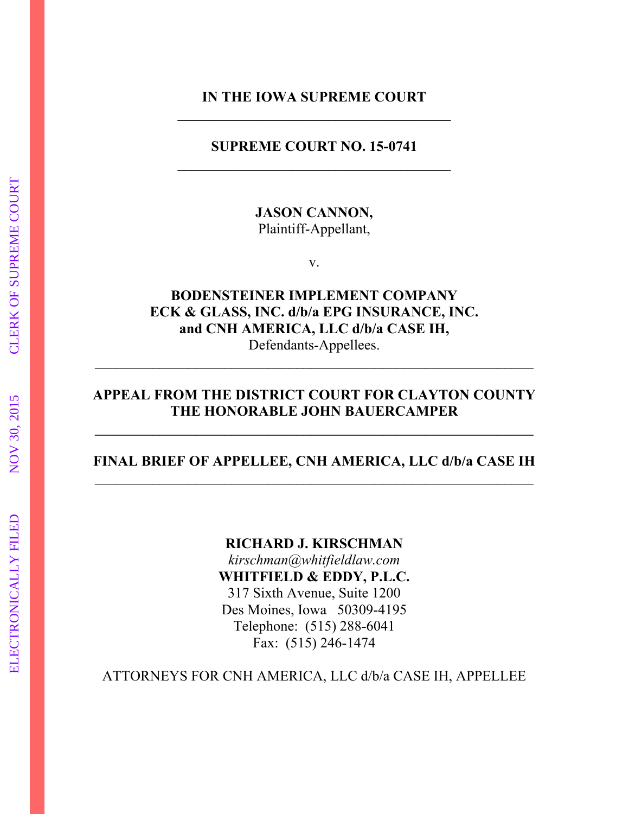### **IN THE IOWA SUPREME COURT \_\_\_\_\_\_\_\_\_\_\_\_\_\_\_\_\_\_\_\_\_\_\_\_\_\_\_\_\_\_\_\_\_\_\_\_\_\_**

#### **SUPREME COURT NO. 15-0741**

**JASON CANNON,**  Plaintiff-Appellant,

v.

**BODENSTEINER IMPLEMENT COMPANY ECK & GLASS, INC. d/b/a EPG INSURANCE, INC. and CNH AMERICA, LLC d/b/a CASE IH,**  Defendants-Appellees.

 $\_$  , and the contribution of the contribution of  $\mathcal{L}_\mathcal{A}$  , and the contribution of  $\mathcal{L}_\mathcal{A}$ 

### **APPEAL FROM THE DISTRICT COURT FOR CLAYTON COUNTY THE HONORABLE JOHN BAUERCAMPER**

**\_\_\_\_\_\_\_\_\_\_\_\_\_\_\_\_\_\_\_\_\_\_\_\_\_\_\_\_\_\_\_\_\_\_\_\_\_\_\_\_\_\_\_\_\_\_\_\_\_\_\_\_\_\_\_\_\_\_\_\_\_** 

### **FINAL BRIEF OF APPELLEE, CNH AMERICA, LLC d/b/a CASE IH**   $\mathcal{L}_\text{max}$  and the contract of the contract of the contract of the contract of the contract of the contract of

#### **RICHARD J. KIRSCHMAN**

*kirschman@whitfieldlaw.com*  **WHITFIELD & EDDY, P.L.C.**  317 Sixth Avenue, Suite 1200 Des Moines, Iowa 50309-4195 Telephone: (515) 288-6041 Fax: (515) 246-1474

ATTORNEYS FOR CNH AMERICA, LLC d/b/a CASE IH, APPELLEE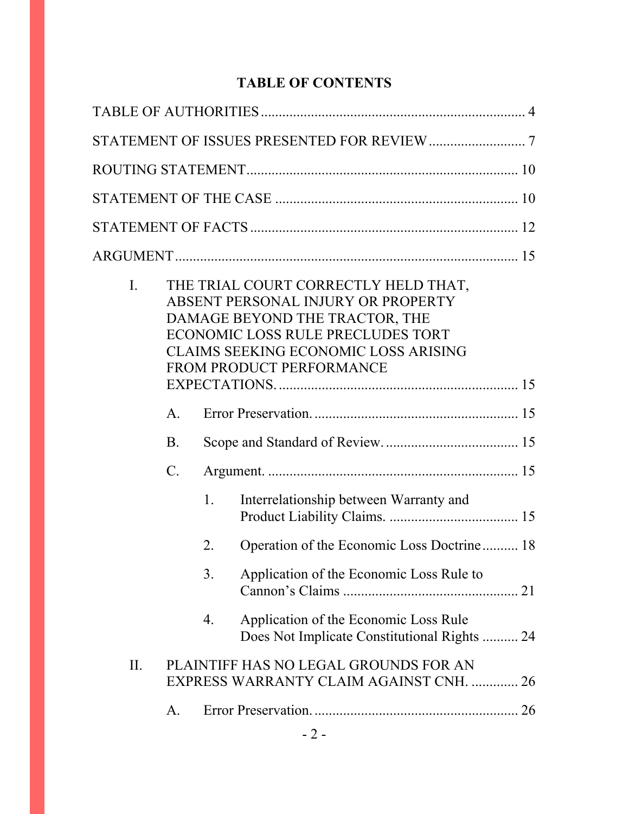# **TABLE OF CONTENTS**

| THE TRIAL COURT CORRECTLY HELD THAT,<br>$\mathbf{I}$ .<br>ABSENT PERSONAL INJURY OR PROPERTY<br>DAMAGE BEYOND THE TRACTOR, THE<br>ECONOMIC LOSS RULE PRECLUDES TORT<br><b>CLAIMS SEEKING ECONOMIC LOSS ARISING</b><br>FROM PRODUCT PERFORMANCE |                                                                                  |    |                                                                                       |    |  |
|------------------------------------------------------------------------------------------------------------------------------------------------------------------------------------------------------------------------------------------------|----------------------------------------------------------------------------------|----|---------------------------------------------------------------------------------------|----|--|
|                                                                                                                                                                                                                                                |                                                                                  |    |                                                                                       |    |  |
|                                                                                                                                                                                                                                                | $A_{\cdot}$                                                                      |    |                                                                                       |    |  |
|                                                                                                                                                                                                                                                | <b>B</b> .                                                                       |    |                                                                                       |    |  |
|                                                                                                                                                                                                                                                | $\mathcal{C}$ .                                                                  |    |                                                                                       |    |  |
|                                                                                                                                                                                                                                                |                                                                                  | 1. | Interrelationship between Warranty and                                                |    |  |
|                                                                                                                                                                                                                                                |                                                                                  | 2. | Operation of the Economic Loss Doctrine 18                                            |    |  |
|                                                                                                                                                                                                                                                |                                                                                  | 3. | Application of the Economic Loss Rule to                                              |    |  |
|                                                                                                                                                                                                                                                |                                                                                  | 4. | Application of the Economic Loss Rule<br>Does Not Implicate Constitutional Rights  24 |    |  |
| II.                                                                                                                                                                                                                                            | PLAINTIFF HAS NO LEGAL GROUNDS FOR AN<br>EXPRESS WARRANTY CLAIM AGAINST CNH.  26 |    |                                                                                       |    |  |
|                                                                                                                                                                                                                                                | А.                                                                               |    |                                                                                       | 26 |  |
|                                                                                                                                                                                                                                                |                                                                                  |    |                                                                                       |    |  |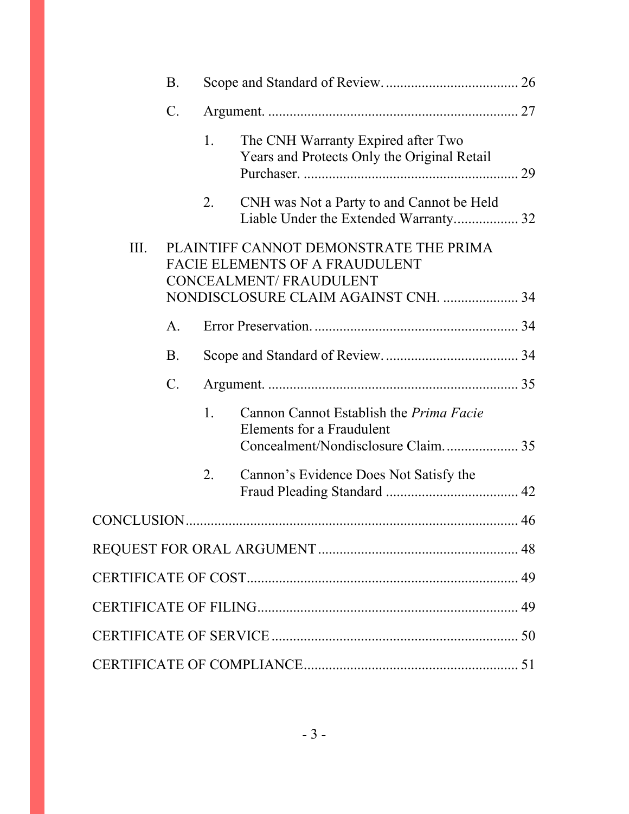|      | B.              |                |                                                                                                                  |    |
|------|-----------------|----------------|------------------------------------------------------------------------------------------------------------------|----|
|      | $\mathcal{C}$ . |                |                                                                                                                  |    |
|      |                 | 1.             | The CNH Warranty Expired after Two<br>Years and Protects Only the Original Retail                                | 29 |
|      |                 | 2.             | CNH was Not a Party to and Cannot be Held<br>Liable Under the Extended Warranty 32                               |    |
| III. |                 |                | PLAINTIFF CANNOT DEMONSTRATE THE PRIMA<br><b>FACIE ELEMENTS OF A FRAUDULENT</b><br><b>CONCEALMENT/FRAUDULENT</b> |    |
|      |                 |                | NONDISCLOSURE CLAIM AGAINST CNH.  34                                                                             |    |
|      | $\mathsf{A}$ .  |                |                                                                                                                  |    |
|      | <b>B</b> .      |                |                                                                                                                  |    |
|      | $\mathcal{C}$ . |                |                                                                                                                  |    |
|      |                 | $\mathbf{1}$ . | Cannon Cannot Establish the <i>Prima Facie</i><br>Elements for a Fraudulent                                      |    |
|      |                 | 2.             | Cannon's Evidence Does Not Satisfy the                                                                           |    |
|      |                 |                |                                                                                                                  |    |
|      |                 |                |                                                                                                                  |    |
|      |                 |                |                                                                                                                  |    |
|      |                 |                |                                                                                                                  |    |
|      |                 |                |                                                                                                                  |    |
|      |                 |                |                                                                                                                  |    |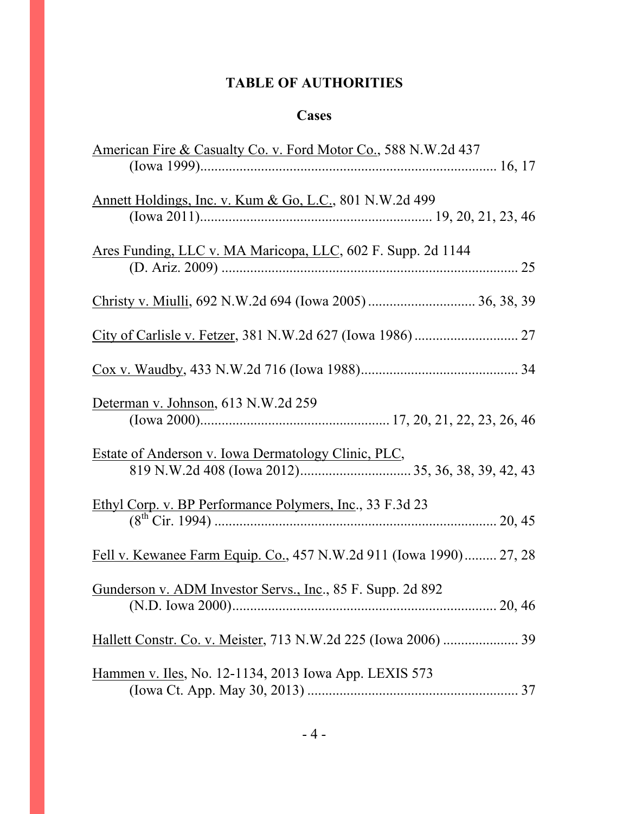# **TABLE OF AUTHORITIES**

## **Cases**

| <u>American Fire &amp; Casualty Co. v. Ford Motor Co.</u> , 588 N.W.2d 437 |
|----------------------------------------------------------------------------|
| Annett Holdings, Inc. v. Kum & Go, L.C., 801 N.W.2d 499                    |
| Ares Funding, LLC v. MA Maricopa, LLC, 602 F. Supp. 2d 1144                |
|                                                                            |
|                                                                            |
|                                                                            |
| Determan v. Johnson, 613 N.W.2d 259                                        |
| Estate of Anderson v. Iowa Dermatology Clinic, PLC,                        |
| Ethyl Corp. v. BP Performance Polymers, Inc., 33 F.3d 23                   |
| Fell v. Kewanee Farm Equip. Co., 457 N.W.2d 911 (Iowa 1990) 27, 28         |
| Gunderson v. ADM Investor Servs., Inc., 85 F. Supp. 2d 892                 |
|                                                                            |
| Hammen v. Iles, No. 12-1134, 2013 Iowa App. LEXIS 573                      |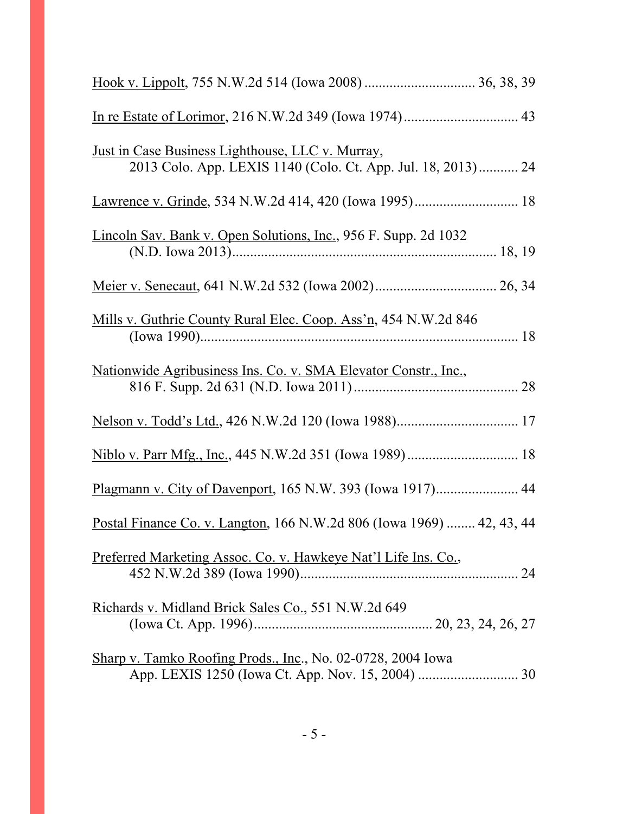| <u>Just in Case Business Lighthouse, LLC v. Murray,</u><br>2013 Colo. App. LEXIS 1140 (Colo. Ct. App. Jul. 18, 2013) 24 |  |
|-------------------------------------------------------------------------------------------------------------------------|--|
|                                                                                                                         |  |
| Lincoln Sav. Bank v. Open Solutions, Inc., 956 F. Supp. 2d 1032                                                         |  |
|                                                                                                                         |  |
| Mills v. Guthrie County Rural Elec. Coop. Ass'n, 454 N.W.2d 846                                                         |  |
| Nationwide Agribusiness Ins. Co. v. SMA Elevator Constr., Inc.,                                                         |  |
|                                                                                                                         |  |
|                                                                                                                         |  |
| Plagmann v. City of Davenport, 165 N.W. 393 (Iowa 1917) 44                                                              |  |
| Postal Finance Co. v. Langton, 166 N.W.2d 806 (Iowa 1969)  42, 43, 44                                                   |  |
| Preferred Marketing Assoc. Co. v. Hawkeye Nat'l Life Ins. Co.,                                                          |  |
| Richards v. Midland Brick Sales Co., 551 N.W.2d 649                                                                     |  |
| Sharp v. Tamko Roofing Prods., Inc., No. 02-0728, 2004 Iowa                                                             |  |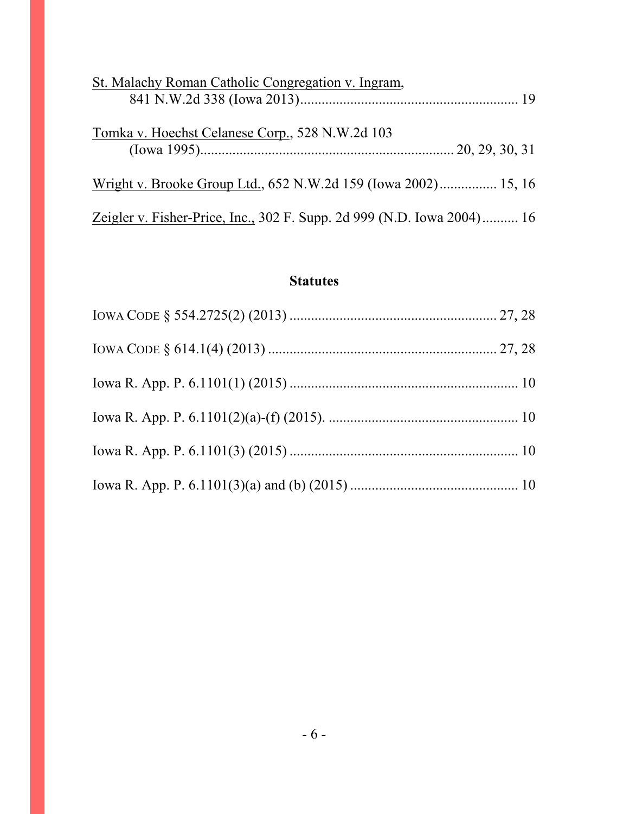| St. Malachy Roman Catholic Congregation v. Ingram,                     |  |
|------------------------------------------------------------------------|--|
| Tomka v. Hoechst Celanese Corp., 528 N.W.2d 103                        |  |
| Wright v. Brooke Group Ltd., 652 N.W.2d 159 (Iowa 2002) 15, 16         |  |
| Zeigler v. Fisher-Price, Inc., 302 F. Supp. 2d 999 (N.D. Iowa 2004) 16 |  |

# **Statutes**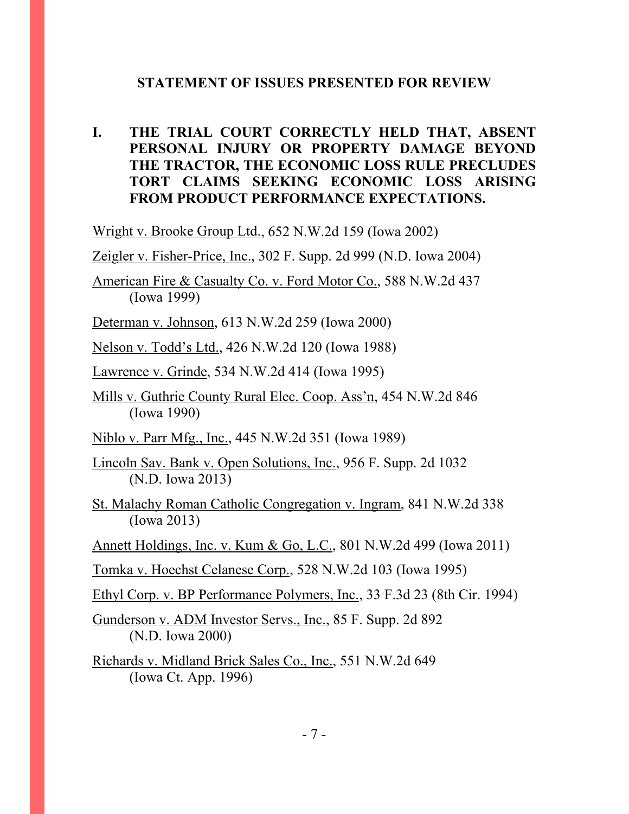#### **STATEMENT OF ISSUES PRESENTED FOR REVIEW**

**I. THE TRIAL COURT CORRECTLY HELD THAT, ABSENT PERSONAL INJURY OR PROPERTY DAMAGE BEYOND THE TRACTOR, THE ECONOMIC LOSS RULE PRECLUDES TORT CLAIMS SEEKING ECONOMIC LOSS ARISING FROM PRODUCT PERFORMANCE EXPECTATIONS.** 

Wright v. Brooke Group Ltd., 652 N.W.2d 159 (Iowa 2002)

Zeigler v. Fisher-Price, Inc., 302 F. Supp. 2d 999 (N.D. Iowa 2004)

American Fire & Casualty Co. v. Ford Motor Co., 588 N.W.2d 437 (Iowa 1999)

Determan v. Johnson, 613 N.W.2d 259 (Iowa 2000)

Nelson v. Todd's Ltd., 426 N.W.2d 120 (Iowa 1988)

Lawrence v. Grinde, 534 N.W.2d 414 (Iowa 1995)

Mills v. Guthrie County Rural Elec. Coop. Ass'n, 454 N.W.2d 846 (Iowa 1990)

Niblo v. Parr Mfg., Inc., 445 N.W.2d 351 (Iowa 1989)

Lincoln Sav. Bank v. Open Solutions, Inc., 956 F. Supp. 2d 1032 (N.D. Iowa 2013)

St. Malachy Roman Catholic Congregation v. Ingram, 841 N.W.2d 338 (Iowa 2013)

Annett Holdings, Inc. v. Kum & Go, L.C., 801 N.W.2d 499 (Iowa 2011)

Tomka v. Hoechst Celanese Corp., 528 N.W.2d 103 (Iowa 1995)

Ethyl Corp. v. BP Performance Polymers, Inc., 33 F.3d 23 (8th Cir. 1994)

Gunderson v. ADM Investor Servs., Inc., 85 F. Supp. 2d 892 (N.D. Iowa 2000)

Richards v. Midland Brick Sales Co., Inc., 551 N.W.2d 649 (Iowa Ct. App. 1996)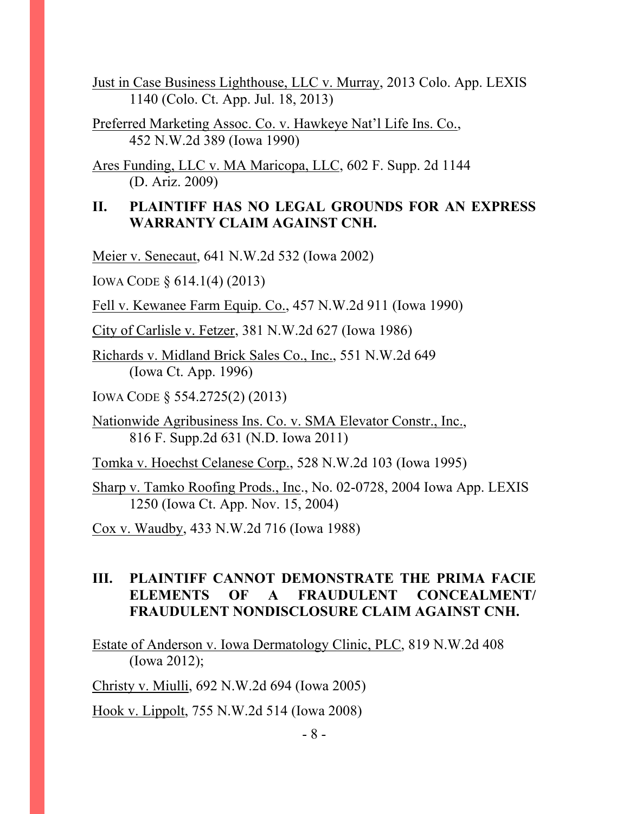Just in Case Business Lighthouse, LLC v. Murray, 2013 Colo. App. LEXIS 1140 (Colo. Ct. App. Jul. 18, 2013)

Preferred Marketing Assoc. Co. v. Hawkeye Nat'l Life Ins. Co., 452 N.W.2d 389 (Iowa 1990)

Ares Funding, LLC v. MA Maricopa, LLC, 602 F. Supp. 2d 1144 (D. Ariz. 2009)

### **II. PLAINTIFF HAS NO LEGAL GROUNDS FOR AN EXPRESS WARRANTY CLAIM AGAINST CNH.**

Meier v. Senecaut, 641 N.W.2d 532 (Iowa 2002)

IOWA CODE § 614.1(4) (2013)

Fell v. Kewanee Farm Equip. Co., 457 N.W.2d 911 (Iowa 1990)

City of Carlisle v. Fetzer, 381 N.W.2d 627 (Iowa 1986)

Richards v. Midland Brick Sales Co., Inc., 551 N.W.2d 649 (Iowa Ct. App. 1996)

IOWA CODE § 554.2725(2) (2013)

Nationwide Agribusiness Ins. Co. v. SMA Elevator Constr., Inc., 816 F. Supp.2d 631 (N.D. Iowa 2011)

Tomka v. Hoechst Celanese Corp., 528 N.W.2d 103 (Iowa 1995)

Sharp v. Tamko Roofing Prods., Inc., No. 02-0728, 2004 Iowa App. LEXIS 1250 (Iowa Ct. App. Nov. 15, 2004)

Cox v. Waudby, 433 N.W.2d 716 (Iowa 1988)

### **III. PLAINTIFF CANNOT DEMONSTRATE THE PRIMA FACIE ELEMENTS OF A FRAUDULENT CONCEALMENT/ FRAUDULENT NONDISCLOSURE CLAIM AGAINST CNH.**

Estate of Anderson v. Iowa Dermatology Clinic, PLC, 819 N.W.2d 408 (Iowa 2012);

Christy v. Miulli, 692 N.W.2d 694 (Iowa 2005)

Hook v. Lippolt, 755 N.W.2d 514 (Iowa 2008)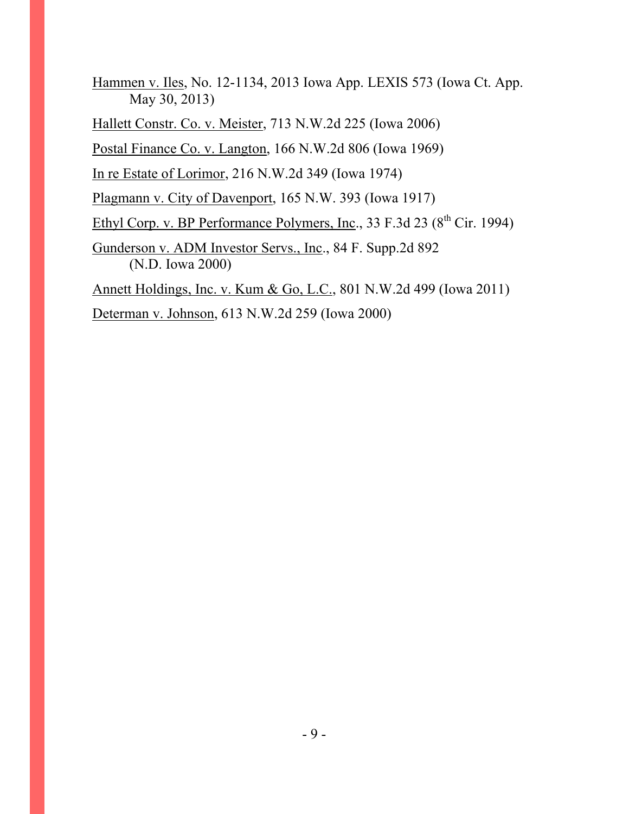Hammen v. Iles, No. 12-1134, 2013 Iowa App. LEXIS 573 (Iowa Ct. App. May 30, 2013)

Hallett Constr. Co. v. Meister, 713 N.W.2d 225 (Iowa 2006)

Postal Finance Co. v. Langton, 166 N.W.2d 806 (Iowa 1969)

In re Estate of Lorimor, 216 N.W.2d 349 (Iowa 1974)

Plagmann v. City of Davenport, 165 N.W. 393 (Iowa 1917)

Ethyl Corp. v. BP Performance Polymers, Inc., 33 F.3d 23  $(8^{th}$  Cir. 1994)

Gunderson v. ADM Investor Servs., Inc., 84 F. Supp.2d 892 (N.D. Iowa 2000)

Annett Holdings, Inc. v. Kum & Go, L.C., 801 N.W.2d 499 (Iowa 2011)

Determan v. Johnson, 613 N.W.2d 259 (Iowa 2000)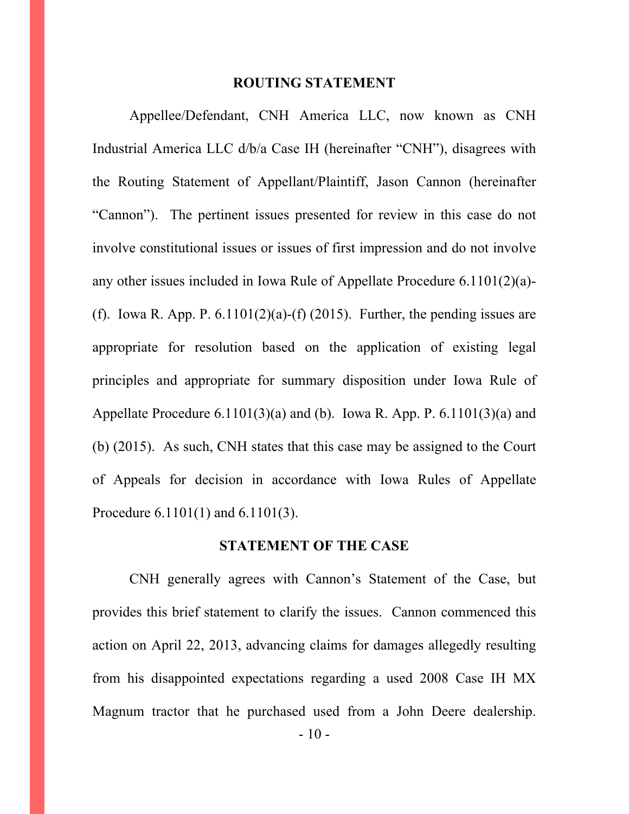#### **ROUTING STATEMENT**

 Appellee/Defendant, CNH America LLC, now known as CNH Industrial America LLC d/b/a Case IH (hereinafter "CNH"), disagrees with the Routing Statement of Appellant/Plaintiff, Jason Cannon (hereinafter "Cannon"). The pertinent issues presented for review in this case do not involve constitutional issues or issues of first impression and do not involve any other issues included in Iowa Rule of Appellate Procedure 6.1101(2)(a)- (f). Iowa R. App. P.  $6.1101(2)(a)$ -(f) (2015). Further, the pending issues are appropriate for resolution based on the application of existing legal principles and appropriate for summary disposition under Iowa Rule of Appellate Procedure  $6.1101(3)(a)$  and (b). Iowa R. App. P.  $6.1101(3)(a)$  and (b) (2015). As such, CNH states that this case may be assigned to the Court of Appeals for decision in accordance with Iowa Rules of Appellate Procedure 6.1101(1) and 6.1101(3).

#### **STATEMENT OF THE CASE**

CNH generally agrees with Cannon's Statement of the Case, but provides this brief statement to clarify the issues. Cannon commenced this action on April 22, 2013, advancing claims for damages allegedly resulting from his disappointed expectations regarding a used 2008 Case IH MX Magnum tractor that he purchased used from a John Deere dealership.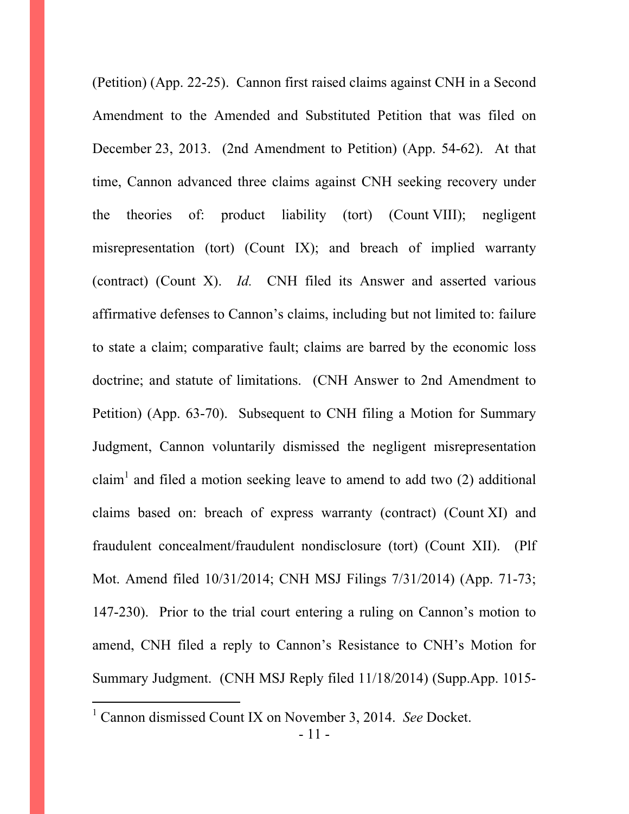(Petition) (App. 22-25). Cannon first raised claims against CNH in a Second Amendment to the Amended and Substituted Petition that was filed on December 23, 2013. (2nd Amendment to Petition) (App. 54-62). At that time, Cannon advanced three claims against CNH seeking recovery under the theories of: product liability (tort) (Count VIII); negligent misrepresentation (tort) (Count IX); and breach of implied warranty (contract) (Count X). *Id.* CNH filed its Answer and asserted various affirmative defenses to Cannon's claims, including but not limited to: failure to state a claim; comparative fault; claims are barred by the economic loss doctrine; and statute of limitations. (CNH Answer to 2nd Amendment to Petition) (App. 63-70). Subsequent to CNH filing a Motion for Summary Judgment, Cannon voluntarily dismissed the negligent misrepresentation claim<sup>1</sup> and filed a motion seeking leave to amend to add two  $(2)$  additional claims based on: breach of express warranty (contract) (Count XI) and fraudulent concealment/fraudulent nondisclosure (tort) (Count XII). (Plf Mot. Amend filed 10/31/2014; CNH MSJ Filings 7/31/2014) (App. 71-73; 147-230). Prior to the trial court entering a ruling on Cannon's motion to amend, CNH filed a reply to Cannon's Resistance to CNH's Motion for Summary Judgment. (CNH MSJ Reply filed 11/18/2014) (Supp.App. 1015-

 $\overline{a}$ 

<sup>&</sup>lt;sup>1</sup> Cannon dismissed Count IX on November 3, 2014. *See* Docket.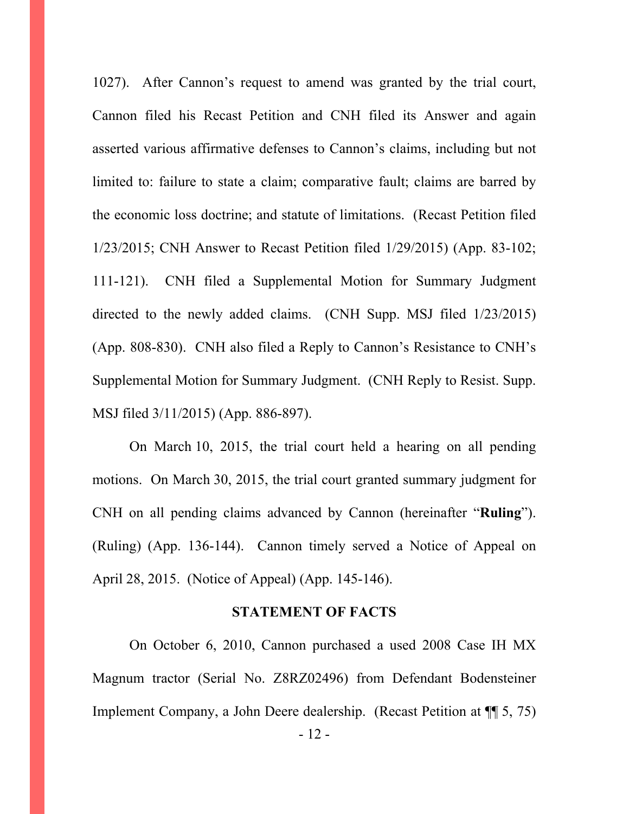1027). After Cannon's request to amend was granted by the trial court, Cannon filed his Recast Petition and CNH filed its Answer and again asserted various affirmative defenses to Cannon's claims, including but not limited to: failure to state a claim; comparative fault; claims are barred by the economic loss doctrine; and statute of limitations. (Recast Petition filed 1/23/2015; CNH Answer to Recast Petition filed 1/29/2015) (App. 83-102; 111-121). CNH filed a Supplemental Motion for Summary Judgment directed to the newly added claims. (CNH Supp. MSJ filed 1/23/2015) (App. 808-830). CNH also filed a Reply to Cannon's Resistance to CNH's Supplemental Motion for Summary Judgment. (CNH Reply to Resist. Supp. MSJ filed 3/11/2015) (App. 886-897).

On March 10, 2015, the trial court held a hearing on all pending motions. On March 30, 2015, the trial court granted summary judgment for CNH on all pending claims advanced by Cannon (hereinafter "**Ruling**"). (Ruling) (App. 136-144). Cannon timely served a Notice of Appeal on April 28, 2015. (Notice of Appeal) (App. 145-146).

#### **STATEMENT OF FACTS**

 On October 6, 2010, Cannon purchased a used 2008 Case IH MX Magnum tractor (Serial No. Z8RZ02496) from Defendant Bodensteiner Implement Company, a John Deere dealership. (Recast Petition at ¶¶ 5, 75)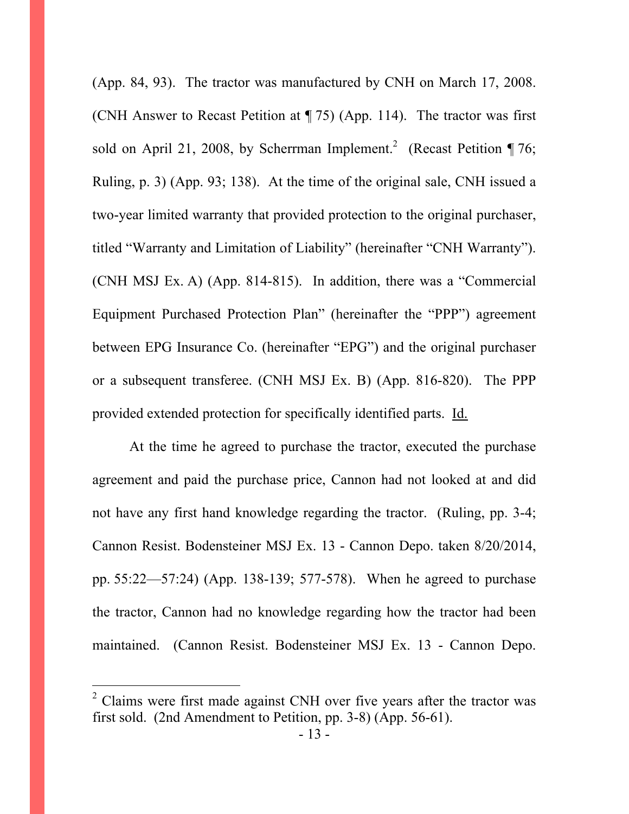(App. 84, 93). The tractor was manufactured by CNH on March 17, 2008. (CNH Answer to Recast Petition at ¶ 75) (App. 114). The tractor was first sold on April 21, 2008, by Scherrman Implement.<sup>2</sup> (Recast Petition ¶ 76; Ruling, p. 3) (App. 93; 138). At the time of the original sale, CNH issued a two-year limited warranty that provided protection to the original purchaser, titled "Warranty and Limitation of Liability" (hereinafter "CNH Warranty"). (CNH MSJ Ex. A) (App. 814-815). In addition, there was a "Commercial Equipment Purchased Protection Plan" (hereinafter the "PPP") agreement between EPG Insurance Co. (hereinafter "EPG") and the original purchaser or a subsequent transferee. (CNH MSJ Ex. B) (App. 816-820). The PPP provided extended protection for specifically identified parts. Id.

 At the time he agreed to purchase the tractor, executed the purchase agreement and paid the purchase price, Cannon had not looked at and did not have any first hand knowledge regarding the tractor. (Ruling, pp. 3-4; Cannon Resist. Bodensteiner MSJ Ex. 13 - Cannon Depo. taken 8/20/2014, pp. 55:22—57:24) (App. 138-139; 577-578). When he agreed to purchase the tractor, Cannon had no knowledge regarding how the tractor had been maintained. (Cannon Resist. Bodensteiner MSJ Ex. 13 - Cannon Depo.

 $\overline{a}$ 

 $2^2$  Claims were first made against CNH over five years after the tractor was first sold. (2nd Amendment to Petition, pp. 3-8) (App. 56-61).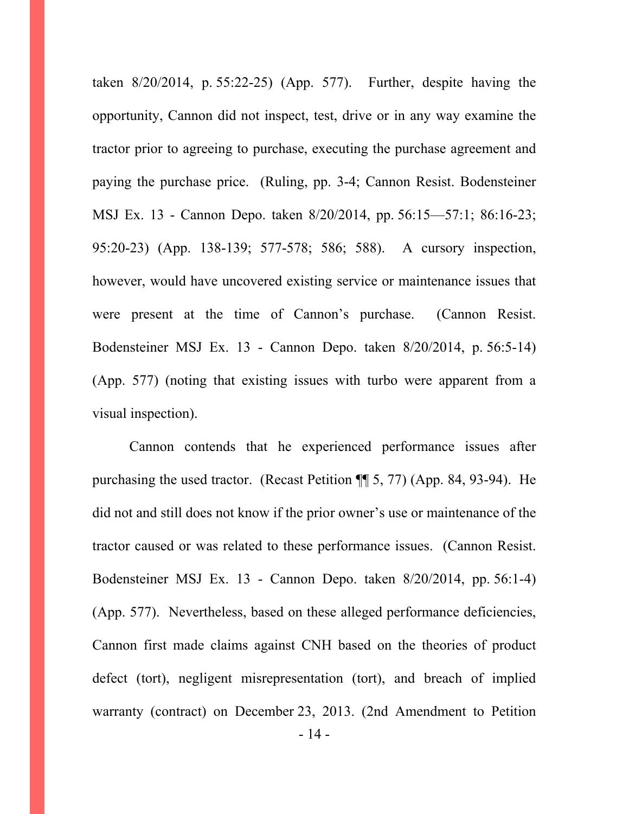taken 8/20/2014, p. 55:22-25) (App. 577). Further, despite having the opportunity, Cannon did not inspect, test, drive or in any way examine the tractor prior to agreeing to purchase, executing the purchase agreement and paying the purchase price. (Ruling, pp. 3-4; Cannon Resist. Bodensteiner MSJ Ex. 13 - Cannon Depo. taken 8/20/2014, pp. 56:15—57:1; 86:16-23; 95:20-23) (App. 138-139; 577-578; 586; 588). A cursory inspection, however, would have uncovered existing service or maintenance issues that were present at the time of Cannon's purchase. (Cannon Resist. Bodensteiner MSJ Ex. 13 - Cannon Depo. taken 8/20/2014, p. 56:5-14) (App. 577) (noting that existing issues with turbo were apparent from a visual inspection).

 Cannon contends that he experienced performance issues after purchasing the used tractor. (Recast Petition ¶¶ 5, 77) (App. 84, 93-94). He did not and still does not know if the prior owner's use or maintenance of the tractor caused or was related to these performance issues. (Cannon Resist. Bodensteiner MSJ Ex. 13 - Cannon Depo. taken 8/20/2014, pp. 56:1-4) (App. 577). Nevertheless, based on these alleged performance deficiencies, Cannon first made claims against CNH based on the theories of product defect (tort), negligent misrepresentation (tort), and breach of implied warranty (contract) on December 23, 2013. (2nd Amendment to Petition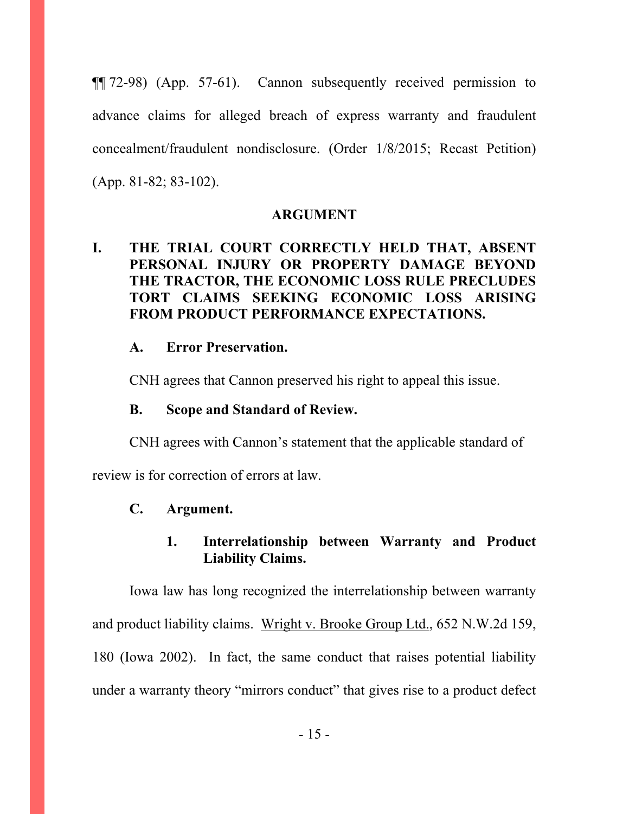¶¶ 72-98) (App. 57-61). Cannon subsequently received permission to advance claims for alleged breach of express warranty and fraudulent concealment/fraudulent nondisclosure. (Order 1/8/2015; Recast Petition) (App. 81-82; 83-102).

#### **ARGUMENT**

### **I. THE TRIAL COURT CORRECTLY HELD THAT, ABSENT PERSONAL INJURY OR PROPERTY DAMAGE BEYOND THE TRACTOR, THE ECONOMIC LOSS RULE PRECLUDES TORT CLAIMS SEEKING ECONOMIC LOSS ARISING FROM PRODUCT PERFORMANCE EXPECTATIONS.**

#### **A. Error Preservation.**

CNH agrees that Cannon preserved his right to appeal this issue.

#### **B. Scope and Standard of Review.**

 CNH agrees with Cannon's statement that the applicable standard of review is for correction of errors at law.

### **C. Argument.**

### **1. Interrelationship between Warranty and Product Liability Claims.**

Iowa law has long recognized the interrelationship between warranty and product liability claims. Wright v. Brooke Group Ltd., 652 N.W.2d 159, 180 (Iowa 2002). In fact, the same conduct that raises potential liability under a warranty theory "mirrors conduct" that gives rise to a product defect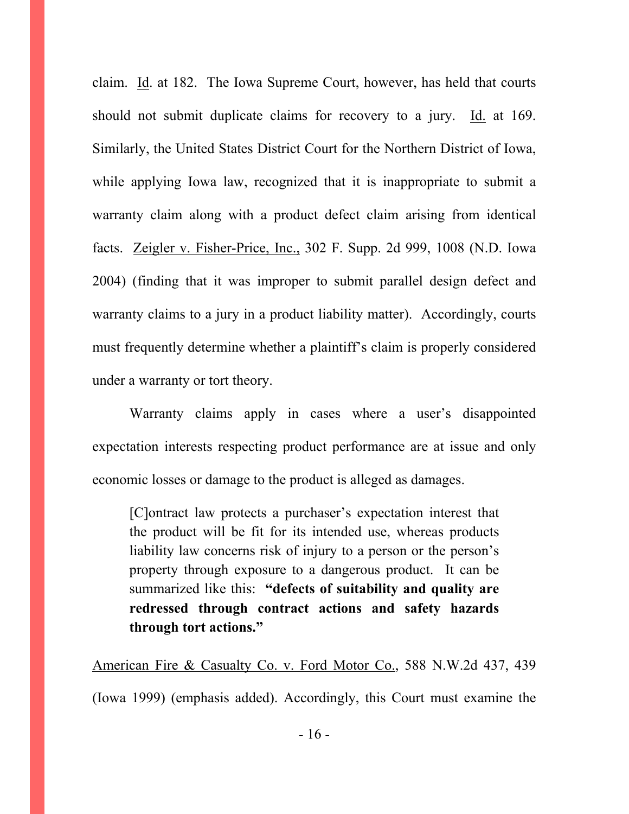claim. Id. at 182. The Iowa Supreme Court, however, has held that courts should not submit duplicate claims for recovery to a jury. Id. at 169. Similarly, the United States District Court for the Northern District of Iowa, while applying Iowa law, recognized that it is inappropriate to submit a warranty claim along with a product defect claim arising from identical facts. Zeigler v. Fisher-Price, Inc., 302 F. Supp. 2d 999, 1008 (N.D. Iowa 2004) (finding that it was improper to submit parallel design defect and warranty claims to a jury in a product liability matter). Accordingly, courts must frequently determine whether a plaintiff's claim is properly considered under a warranty or tort theory.

 Warranty claims apply in cases where a user's disappointed expectation interests respecting product performance are at issue and only economic losses or damage to the product is alleged as damages.

[C]ontract law protects a purchaser's expectation interest that the product will be fit for its intended use, whereas products liability law concerns risk of injury to a person or the person's property through exposure to a dangerous product. It can be summarized like this: **"defects of suitability and quality are redressed through contract actions and safety hazards through tort actions."** 

American Fire & Casualty Co. v. Ford Motor Co., 588 N.W.2d 437, 439

(Iowa 1999) (emphasis added). Accordingly, this Court must examine the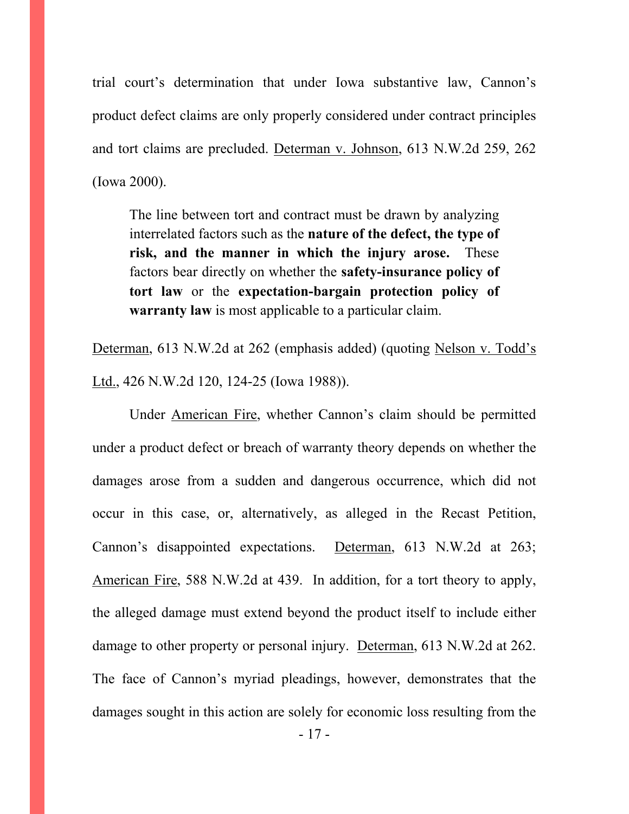trial court's determination that under Iowa substantive law, Cannon's product defect claims are only properly considered under contract principles and tort claims are precluded. Determan v. Johnson, 613 N.W.2d 259, 262 (Iowa 2000).

The line between tort and contract must be drawn by analyzing interrelated factors such as the **nature of the defect, the type of risk, and the manner in which the injury arose.** These factors bear directly on whether the **safety-insurance policy of tort law** or the **expectation-bargain protection policy of warranty law** is most applicable to a particular claim.

Determan, 613 N.W.2d at 262 (emphasis added) (quoting Nelson v. Todd's Ltd., 426 N.W.2d 120, 124-25 (Iowa 1988)).

 Under American Fire, whether Cannon's claim should be permitted under a product defect or breach of warranty theory depends on whether the damages arose from a sudden and dangerous occurrence, which did not occur in this case, or, alternatively, as alleged in the Recast Petition, Cannon's disappointed expectations. Determan, 613 N.W.2d at 263; American Fire, 588 N.W.2d at 439. In addition, for a tort theory to apply, the alleged damage must extend beyond the product itself to include either damage to other property or personal injury. Determan, 613 N.W.2d at 262. The face of Cannon's myriad pleadings, however, demonstrates that the damages sought in this action are solely for economic loss resulting from the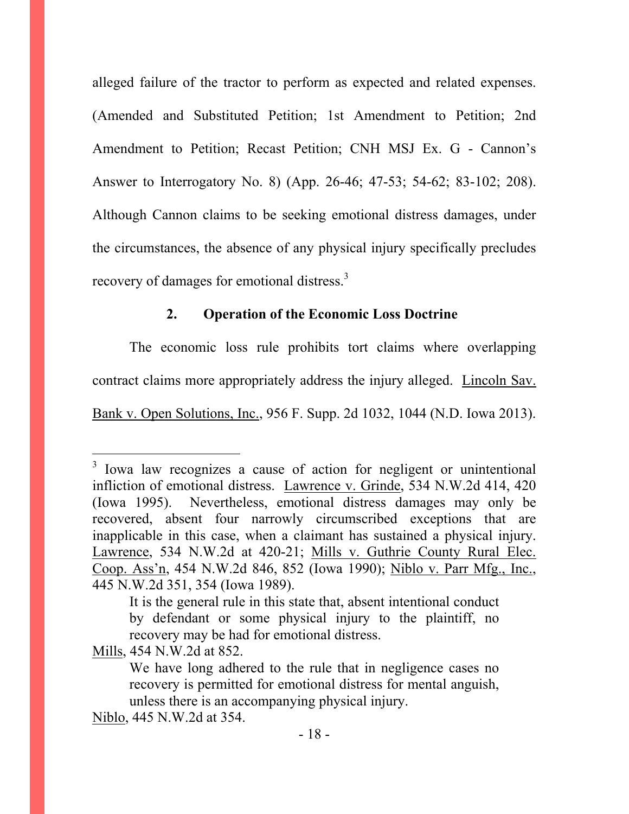alleged failure of the tractor to perform as expected and related expenses. (Amended and Substituted Petition; 1st Amendment to Petition; 2nd Amendment to Petition; Recast Petition; CNH MSJ Ex. G - Cannon's Answer to Interrogatory No. 8) (App. 26-46; 47-53; 54-62; 83-102; 208). Although Cannon claims to be seeking emotional distress damages, under the circumstances, the absence of any physical injury specifically precludes recovery of damages for emotional distress.<sup>3</sup>

### **2. Operation of the Economic Loss Doctrine**

The economic loss rule prohibits tort claims where overlapping contract claims more appropriately address the injury alleged. Lincoln Sav. Bank v. Open Solutions, Inc., 956 F. Supp. 2d 1032, 1044 (N.D. Iowa 2013).

Mills, 454 N.W.2d at 852.

 $\overline{a}$ 

<sup>&</sup>lt;sup>3</sup> Iowa law recognizes a cause of action for negligent or unintentional infliction of emotional distress. Lawrence v. Grinde, 534 N.W.2d 414, 420 (Iowa 1995). Nevertheless, emotional distress damages may only be recovered, absent four narrowly circumscribed exceptions that are inapplicable in this case, when a claimant has sustained a physical injury. Lawrence, 534 N.W.2d at 420-21; Mills v. Guthrie County Rural Elec. Coop. Ass'n, 454 N.W.2d 846, 852 (Iowa 1990); Niblo v. Parr Mfg., Inc., 445 N.W.2d 351, 354 (Iowa 1989).

It is the general rule in this state that, absent intentional conduct by defendant or some physical injury to the plaintiff, no recovery may be had for emotional distress.

We have long adhered to the rule that in negligence cases no recovery is permitted for emotional distress for mental anguish, unless there is an accompanying physical injury.

Niblo, 445 N.W.2d at 354.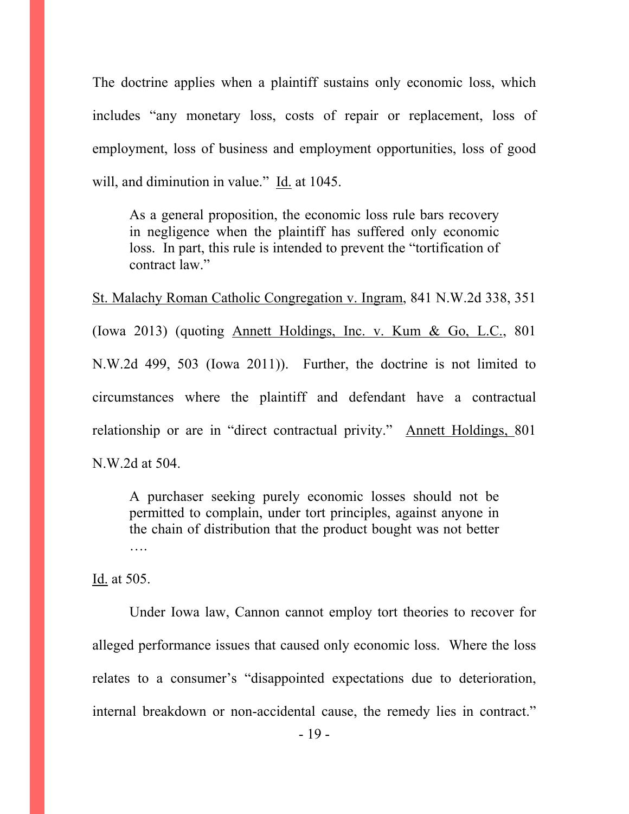The doctrine applies when a plaintiff sustains only economic loss, which includes "any monetary loss, costs of repair or replacement, loss of employment, loss of business and employment opportunities, loss of good will, and diminution in value." Id. at 1045.

As a general proposition, the economic loss rule bars recovery in negligence when the plaintiff has suffered only economic loss. In part, this rule is intended to prevent the "tortification of contract law."

St. Malachy Roman Catholic Congregation v. Ingram, 841 N.W.2d 338, 351 (Iowa 2013) (quoting Annett Holdings, Inc. v. Kum & Go, L.C., 801 N.W.2d 499, 503 (Iowa 2011)). Further, the doctrine is not limited to circumstances where the plaintiff and defendant have a contractual relationship or are in "direct contractual privity." Annett Holdings, 801 N.W.2d at 504.

A purchaser seeking purely economic losses should not be permitted to complain, under tort principles, against anyone in the chain of distribution that the product bought was not better ….

Id. at 505.

 Under Iowa law, Cannon cannot employ tort theories to recover for alleged performance issues that caused only economic loss. Where the loss relates to a consumer's "disappointed expectations due to deterioration, internal breakdown or non-accidental cause, the remedy lies in contract."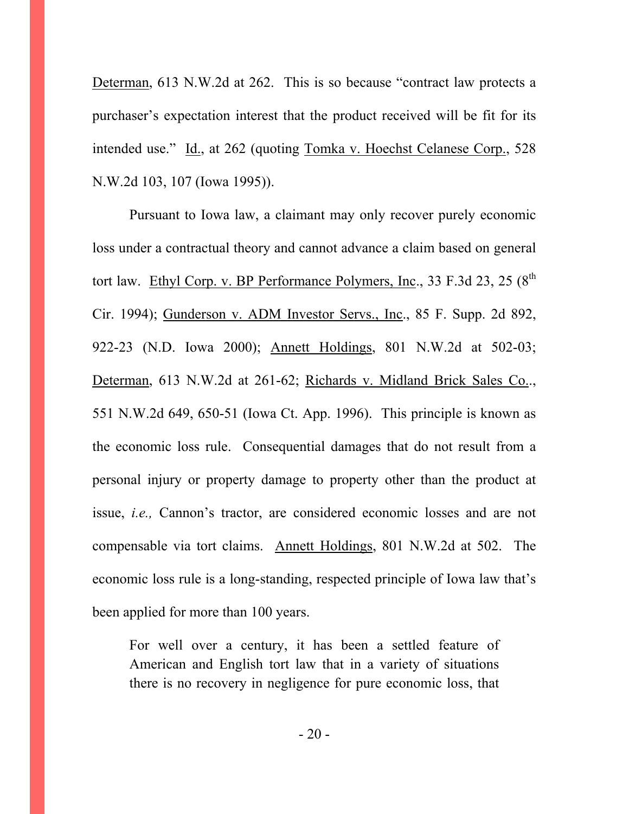Determan, 613 N.W.2d at 262. This is so because "contract law protects a purchaser's expectation interest that the product received will be fit for its intended use." Id., at 262 (quoting Tomka v. Hoechst Celanese Corp., 528 N.W.2d 103, 107 (Iowa 1995)).

 Pursuant to Iowa law, a claimant may only recover purely economic loss under a contractual theory and cannot advance a claim based on general tort law. Ethyl Corp. v. BP Performance Polymers, Inc., 33 F.3d 23, 25  $(8^{th}$ Cir. 1994); Gunderson v. ADM Investor Servs., Inc., 85 F. Supp. 2d 892, 922-23 (N.D. Iowa 2000); Annett Holdings, 801 N.W.2d at 502-03; Determan, 613 N.W.2d at 261-62; Richards v. Midland Brick Sales Co.., 551 N.W.2d 649, 650-51 (Iowa Ct. App. 1996). This principle is known as the economic loss rule. Consequential damages that do not result from a personal injury or property damage to property other than the product at issue, *i.e.,* Cannon's tractor, are considered economic losses and are not compensable via tort claims. Annett Holdings, 801 N.W.2d at 502. The economic loss rule is a long-standing, respected principle of Iowa law that's been applied for more than 100 years.

For well over a century, it has been a settled feature of American and English tort law that in a variety of situations there is no recovery in negligence for pure economic loss, that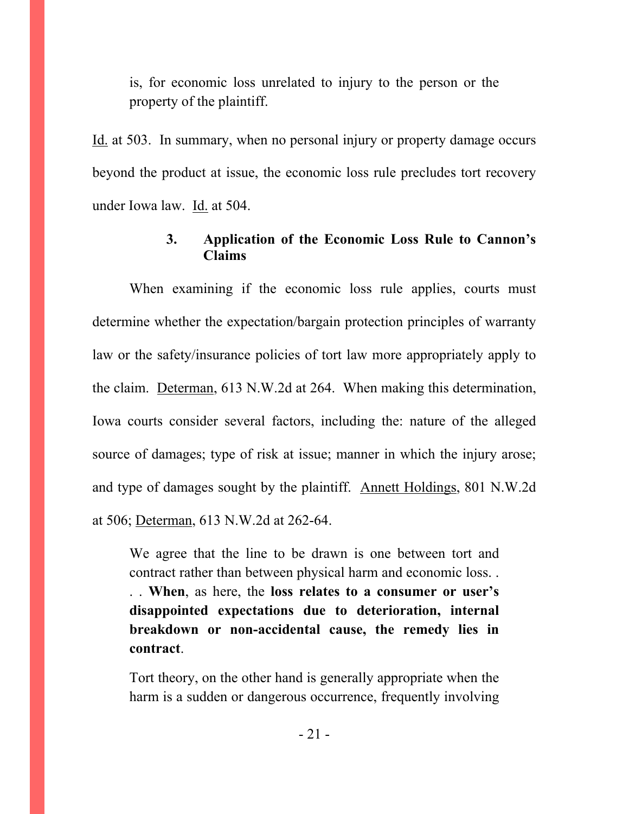is, for economic loss unrelated to injury to the person or the property of the plaintiff.

Id. at 503. In summary, when no personal injury or property damage occurs beyond the product at issue, the economic loss rule precludes tort recovery under Iowa law. Id. at 504.

### **3. Application of the Economic Loss Rule to Cannon's Claims**

When examining if the economic loss rule applies, courts must determine whether the expectation/bargain protection principles of warranty law or the safety/insurance policies of tort law more appropriately apply to the claim. Determan, 613 N.W.2d at 264. When making this determination, Iowa courts consider several factors, including the: nature of the alleged source of damages; type of risk at issue; manner in which the injury arose; and type of damages sought by the plaintiff. Annett Holdings, 801 N.W.2d at 506; Determan, 613 N.W.2d at 262-64.

We agree that the line to be drawn is one between tort and contract rather than between physical harm and economic loss. .

. . **When**, as here, the **loss relates to a consumer or user's disappointed expectations due to deterioration, internal breakdown or non-accidental cause, the remedy lies in contract**.

Tort theory, on the other hand is generally appropriate when the harm is a sudden or dangerous occurrence, frequently involving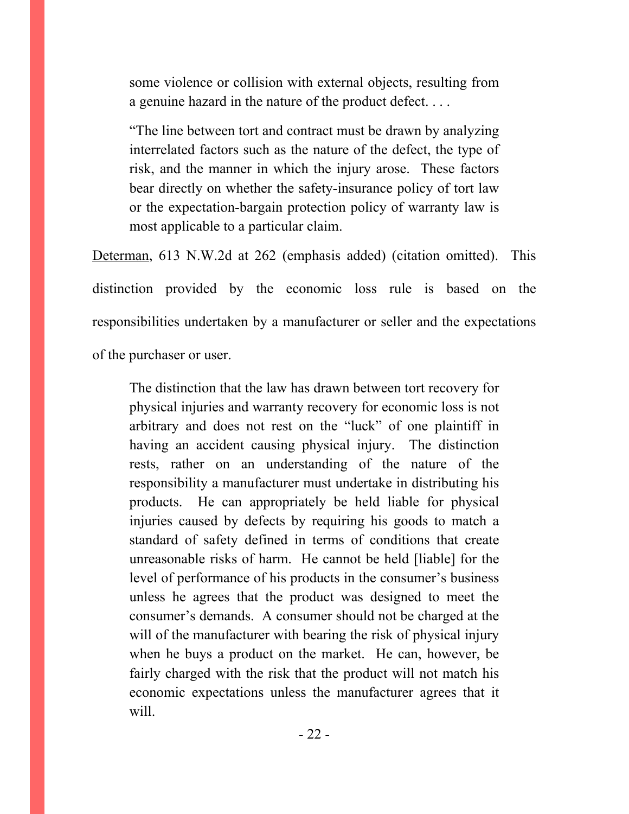some violence or collision with external objects, resulting from a genuine hazard in the nature of the product defect. . . .

"The line between tort and contract must be drawn by analyzing interrelated factors such as the nature of the defect, the type of risk, and the manner in which the injury arose. These factors bear directly on whether the safety-insurance policy of tort law or the expectation-bargain protection policy of warranty law is most applicable to a particular claim.

Determan, 613 N.W.2d at 262 (emphasis added) (citation omitted). This distinction provided by the economic loss rule is based on the responsibilities undertaken by a manufacturer or seller and the expectations of the purchaser or user.

The distinction that the law has drawn between tort recovery for physical injuries and warranty recovery for economic loss is not arbitrary and does not rest on the "luck" of one plaintiff in having an accident causing physical injury. The distinction rests, rather on an understanding of the nature of the responsibility a manufacturer must undertake in distributing his products. He can appropriately be held liable for physical injuries caused by defects by requiring his goods to match a standard of safety defined in terms of conditions that create unreasonable risks of harm. He cannot be held [liable] for the level of performance of his products in the consumer's business unless he agrees that the product was designed to meet the consumer's demands. A consumer should not be charged at the will of the manufacturer with bearing the risk of physical injury when he buys a product on the market. He can, however, be fairly charged with the risk that the product will not match his economic expectations unless the manufacturer agrees that it will.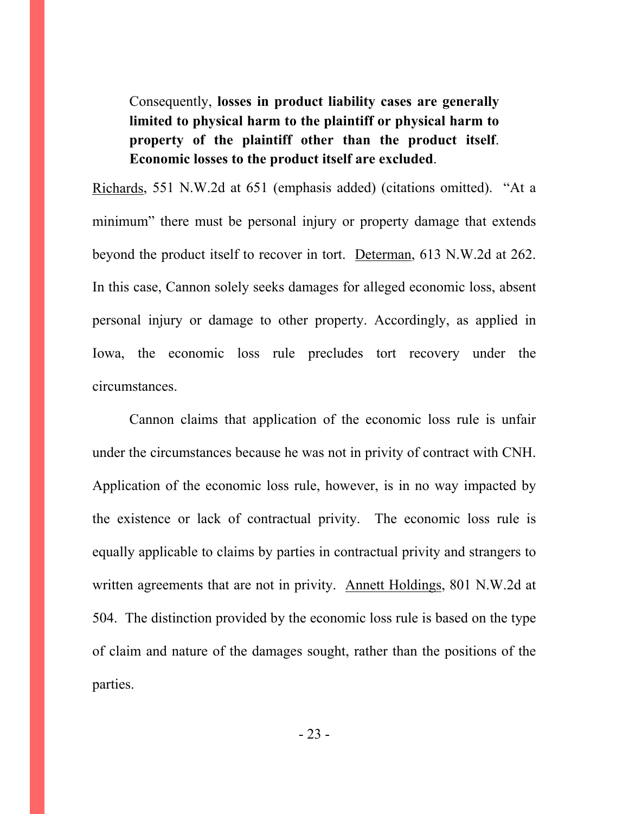Consequently, **losses in product liability cases are generally limited to physical harm to the plaintiff or physical harm to property of the plaintiff other than the product itself**. **Economic losses to the product itself are excluded**.

Richards, 551 N.W.2d at 651 (emphasis added) (citations omitted). "At a minimum" there must be personal injury or property damage that extends beyond the product itself to recover in tort. Determan, 613 N.W.2d at 262. In this case, Cannon solely seeks damages for alleged economic loss, absent personal injury or damage to other property. Accordingly, as applied in Iowa, the economic loss rule precludes tort recovery under the circumstances.

 Cannon claims that application of the economic loss rule is unfair under the circumstances because he was not in privity of contract with CNH. Application of the economic loss rule, however, is in no way impacted by the existence or lack of contractual privity. The economic loss rule is equally applicable to claims by parties in contractual privity and strangers to written agreements that are not in privity. Annett Holdings, 801 N.W.2d at 504. The distinction provided by the economic loss rule is based on the type of claim and nature of the damages sought, rather than the positions of the parties.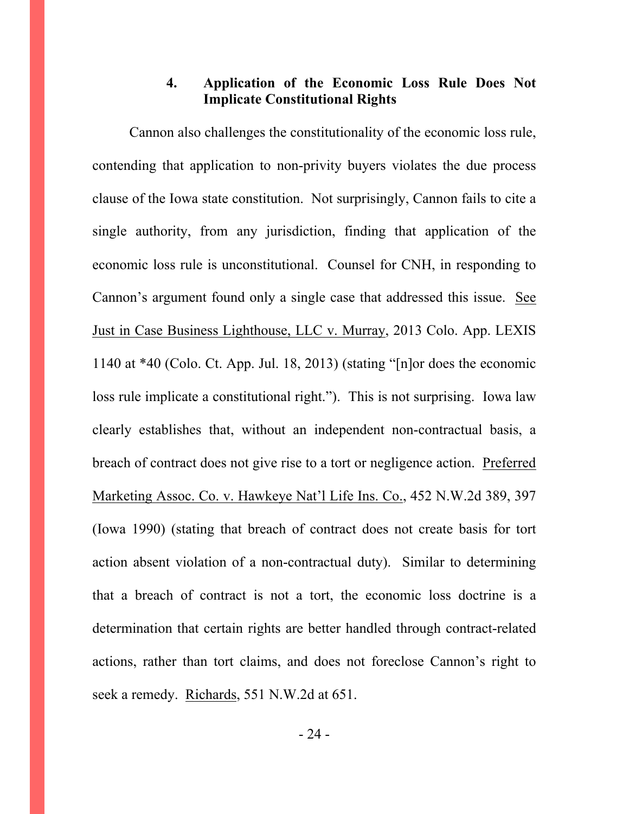### **4. Application of the Economic Loss Rule Does Not Implicate Constitutional Rights**

 Cannon also challenges the constitutionality of the economic loss rule, contending that application to non-privity buyers violates the due process clause of the Iowa state constitution. Not surprisingly, Cannon fails to cite a single authority, from any jurisdiction, finding that application of the economic loss rule is unconstitutional. Counsel for CNH, in responding to Cannon's argument found only a single case that addressed this issue. See Just in Case Business Lighthouse, LLC v. Murray, 2013 Colo. App. LEXIS 1140 at \*40 (Colo. Ct. App. Jul. 18, 2013) (stating "[n]or does the economic loss rule implicate a constitutional right."). This is not surprising. Iowa law clearly establishes that, without an independent non-contractual basis, a breach of contract does not give rise to a tort or negligence action. Preferred Marketing Assoc. Co. v. Hawkeye Nat'l Life Ins. Co., 452 N.W.2d 389, 397 (Iowa 1990) (stating that breach of contract does not create basis for tort action absent violation of a non-contractual duty). Similar to determining that a breach of contract is not a tort, the economic loss doctrine is a determination that certain rights are better handled through contract-related actions, rather than tort claims, and does not foreclose Cannon's right to seek a remedy. Richards, 551 N.W.2d at 651.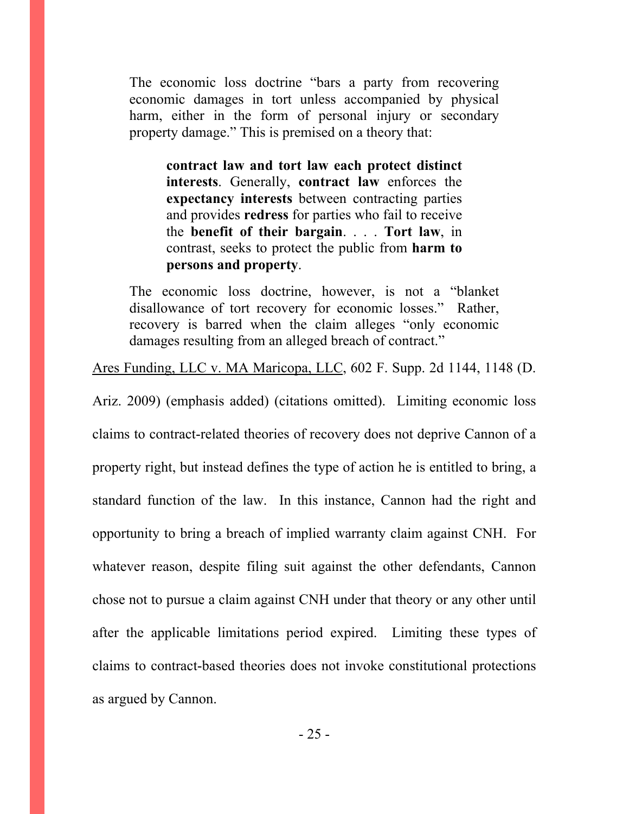The economic loss doctrine "bars a party from recovering economic damages in tort unless accompanied by physical harm, either in the form of personal injury or secondary property damage." This is premised on a theory that:

**contract law and tort law each protect distinct interests**. Generally, **contract law** enforces the **expectancy interests** between contracting parties and provides **redress** for parties who fail to receive the **benefit of their bargain**. . . . **Tort law**, in contrast, seeks to protect the public from **harm to persons and property**.

The economic loss doctrine, however, is not a "blanket disallowance of tort recovery for economic losses." Rather, recovery is barred when the claim alleges "only economic damages resulting from an alleged breach of contract."

Ares Funding, LLC v. MA Maricopa, LLC, 602 F. Supp. 2d 1144, 1148 (D.

Ariz. 2009) (emphasis added) (citations omitted). Limiting economic loss claims to contract-related theories of recovery does not deprive Cannon of a property right, but instead defines the type of action he is entitled to bring, a standard function of the law. In this instance, Cannon had the right and opportunity to bring a breach of implied warranty claim against CNH. For whatever reason, despite filing suit against the other defendants, Cannon chose not to pursue a claim against CNH under that theory or any other until after the applicable limitations period expired. Limiting these types of claims to contract-based theories does not invoke constitutional protections as argued by Cannon.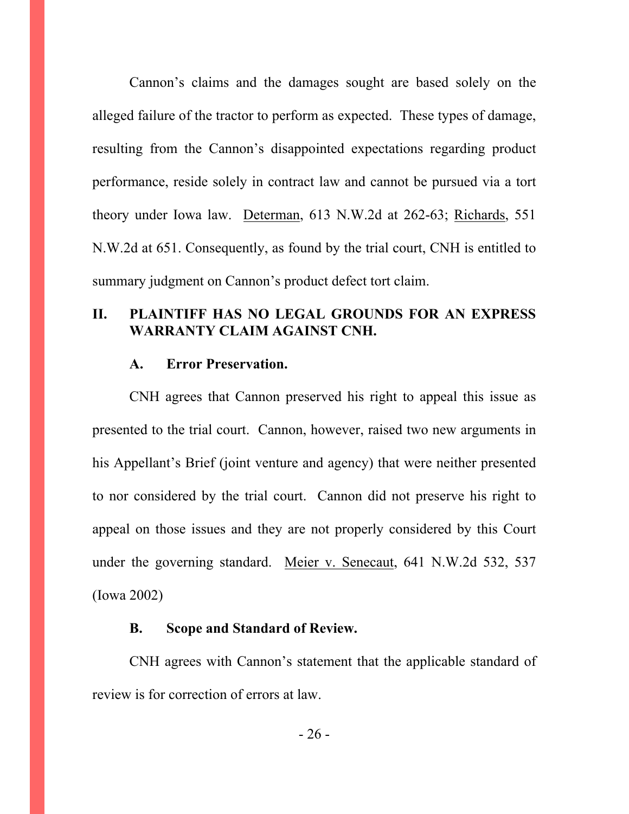Cannon's claims and the damages sought are based solely on the alleged failure of the tractor to perform as expected. These types of damage, resulting from the Cannon's disappointed expectations regarding product performance, reside solely in contract law and cannot be pursued via a tort theory under Iowa law. Determan, 613 N.W.2d at 262-63; Richards, 551 N.W.2d at 651. Consequently, as found by the trial court, CNH is entitled to summary judgment on Cannon's product defect tort claim.

#### **II. PLAINTIFF HAS NO LEGAL GROUNDS FOR AN EXPRESS WARRANTY CLAIM AGAINST CNH.**

#### **A. Error Preservation.**

 CNH agrees that Cannon preserved his right to appeal this issue as presented to the trial court. Cannon, however, raised two new arguments in his Appellant's Brief (joint venture and agency) that were neither presented to nor considered by the trial court. Cannon did not preserve his right to appeal on those issues and they are not properly considered by this Court under the governing standard. Meier v. Senecaut, 641 N.W.2d 532, 537 (Iowa 2002)

#### **B. Scope and Standard of Review.**

 CNH agrees with Cannon's statement that the applicable standard of review is for correction of errors at law.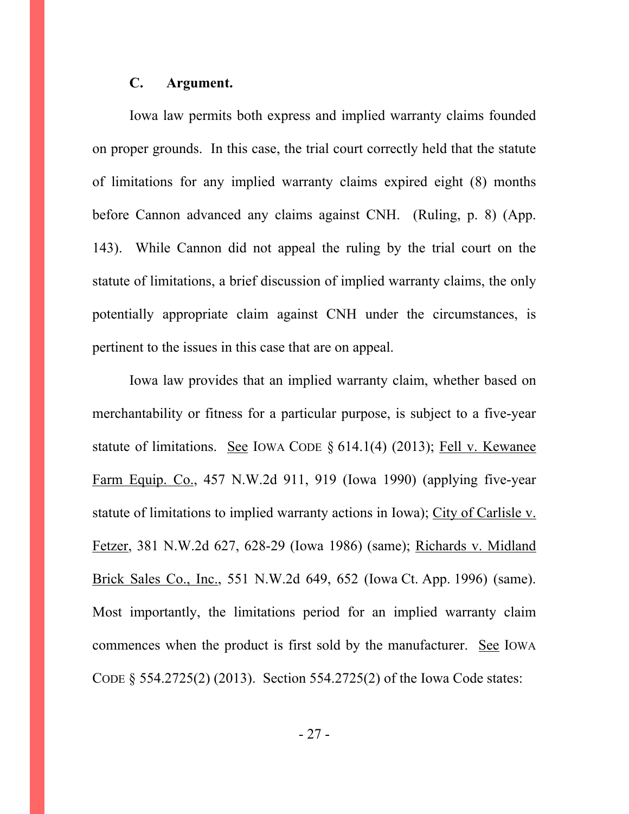#### **C. Argument.**

 Iowa law permits both express and implied warranty claims founded on proper grounds. In this case, the trial court correctly held that the statute of limitations for any implied warranty claims expired eight (8) months before Cannon advanced any claims against CNH. (Ruling, p. 8) (App. 143). While Cannon did not appeal the ruling by the trial court on the statute of limitations, a brief discussion of implied warranty claims, the only potentially appropriate claim against CNH under the circumstances, is pertinent to the issues in this case that are on appeal.

 Iowa law provides that an implied warranty claim, whether based on merchantability or fitness for a particular purpose, is subject to a five-year statute of limitations. See IOWA CODE § 614.1(4) (2013); Fell v. Kewanee Farm Equip. Co., 457 N.W.2d 911, 919 (Iowa 1990) (applying five-year statute of limitations to implied warranty actions in Iowa); City of Carlisle v. Fetzer, 381 N.W.2d 627, 628-29 (Iowa 1986) (same); Richards v. Midland Brick Sales Co., Inc., 551 N.W.2d 649, 652 (Iowa Ct. App. 1996) (same). Most importantly, the limitations period for an implied warranty claim commences when the product is first sold by the manufacturer. See IOWA CODE § 554.2725(2) (2013). Section 554.2725(2) of the Iowa Code states: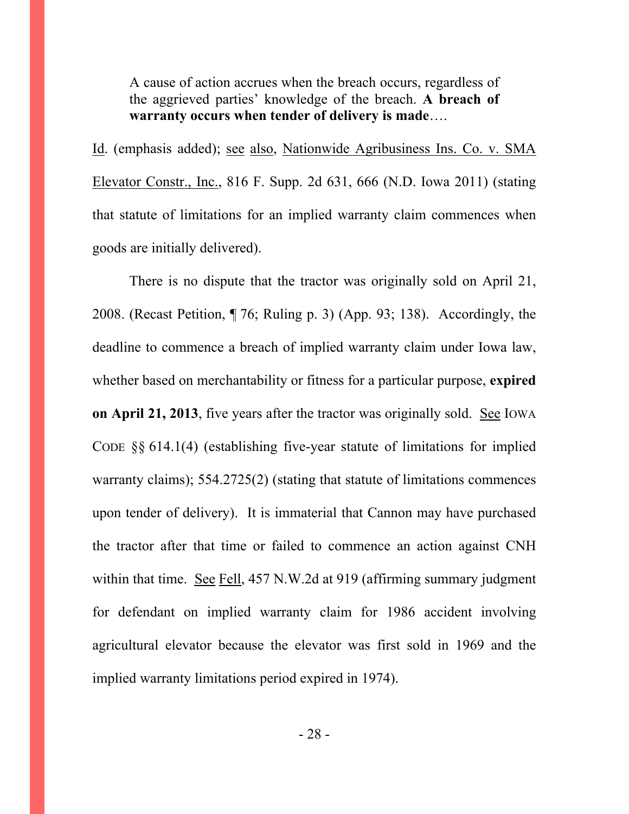A cause of action accrues when the breach occurs, regardless of the aggrieved parties' knowledge of the breach. **A breach of warranty occurs when tender of delivery is made**….

Id. (emphasis added); see also, Nationwide Agribusiness Ins. Co. v. SMA Elevator Constr., Inc., 816 F. Supp. 2d 631, 666 (N.D. Iowa 2011) (stating that statute of limitations for an implied warranty claim commences when goods are initially delivered).

 There is no dispute that the tractor was originally sold on April 21, 2008. (Recast Petition, ¶ 76; Ruling p. 3) (App. 93; 138). Accordingly, the deadline to commence a breach of implied warranty claim under Iowa law, whether based on merchantability or fitness for a particular purpose, **expired on April 21, 2013**, five years after the tractor was originally sold. See IOWA CODE §§ 614.1(4) (establishing five-year statute of limitations for implied warranty claims); 554.2725(2) (stating that statute of limitations commences upon tender of delivery). It is immaterial that Cannon may have purchased the tractor after that time or failed to commence an action against CNH within that time. See Fell, 457 N.W.2d at 919 (affirming summary judgment for defendant on implied warranty claim for 1986 accident involving agricultural elevator because the elevator was first sold in 1969 and the implied warranty limitations period expired in 1974).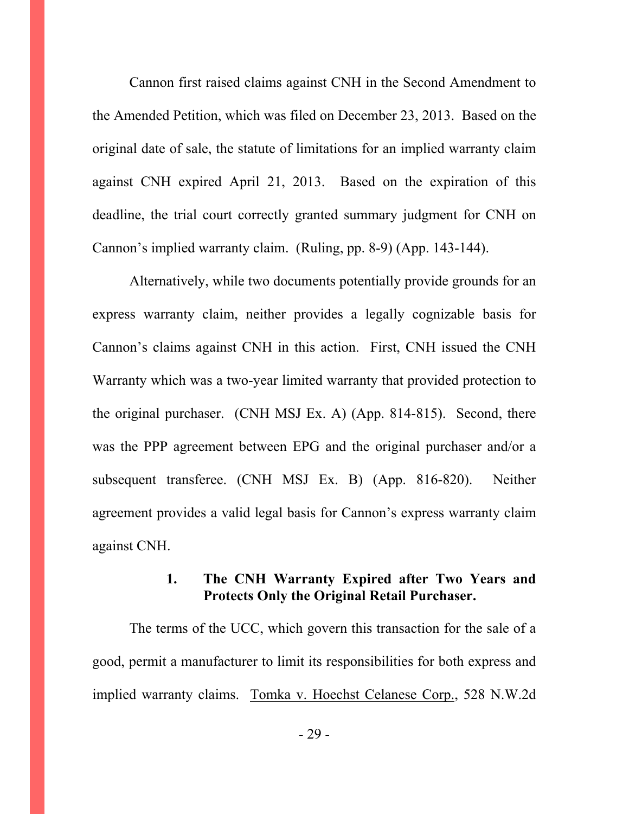Cannon first raised claims against CNH in the Second Amendment to the Amended Petition, which was filed on December 23, 2013. Based on the original date of sale, the statute of limitations for an implied warranty claim against CNH expired April 21, 2013. Based on the expiration of this deadline, the trial court correctly granted summary judgment for CNH on Cannon's implied warranty claim. (Ruling, pp. 8-9) (App. 143-144).

 Alternatively, while two documents potentially provide grounds for an express warranty claim, neither provides a legally cognizable basis for Cannon's claims against CNH in this action. First, CNH issued the CNH Warranty which was a two-year limited warranty that provided protection to the original purchaser. (CNH MSJ Ex. A) (App. 814-815). Second, there was the PPP agreement between EPG and the original purchaser and/or a subsequent transferee. (CNH MSJ Ex. B) (App. 816-820). Neither agreement provides a valid legal basis for Cannon's express warranty claim against CNH.

### **1. The CNH Warranty Expired after Two Years and Protects Only the Original Retail Purchaser.**

 The terms of the UCC, which govern this transaction for the sale of a good, permit a manufacturer to limit its responsibilities for both express and implied warranty claims. Tomka v. Hoechst Celanese Corp., 528 N.W.2d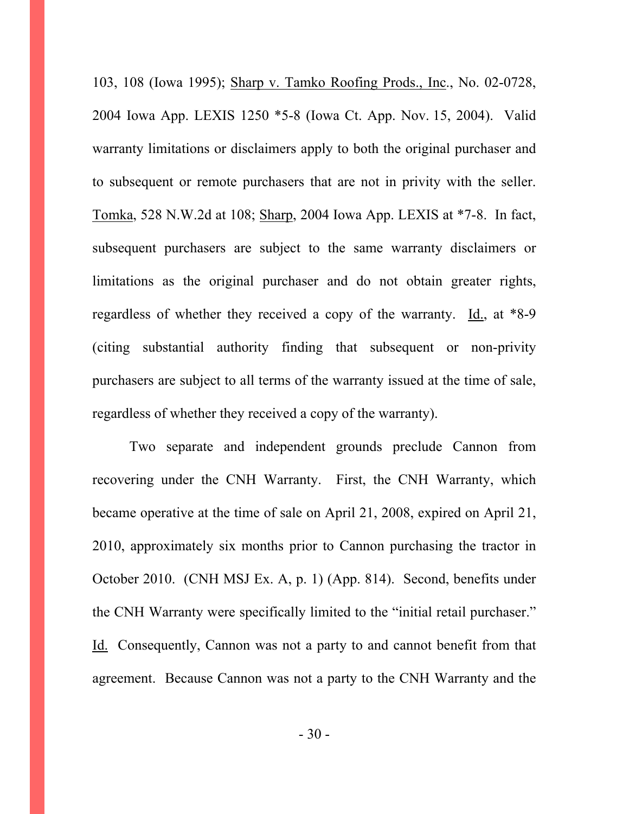103, 108 (Iowa 1995); Sharp v. Tamko Roofing Prods., Inc., No. 02-0728, 2004 Iowa App. LEXIS 1250 \*5-8 (Iowa Ct. App. Nov. 15, 2004). Valid warranty limitations or disclaimers apply to both the original purchaser and to subsequent or remote purchasers that are not in privity with the seller. Tomka, 528 N.W.2d at 108; Sharp, 2004 Iowa App. LEXIS at \*7-8. In fact, subsequent purchasers are subject to the same warranty disclaimers or limitations as the original purchaser and do not obtain greater rights, regardless of whether they received a copy of the warranty. Id., at  $*8-9$ (citing substantial authority finding that subsequent or non-privity purchasers are subject to all terms of the warranty issued at the time of sale, regardless of whether they received a copy of the warranty).

 Two separate and independent grounds preclude Cannon from recovering under the CNH Warranty. First, the CNH Warranty, which became operative at the time of sale on April 21, 2008, expired on April 21, 2010, approximately six months prior to Cannon purchasing the tractor in October 2010. (CNH MSJ Ex. A, p. 1) (App. 814). Second, benefits under the CNH Warranty were specifically limited to the "initial retail purchaser." Id. Consequently, Cannon was not a party to and cannot benefit from that agreement. Because Cannon was not a party to the CNH Warranty and the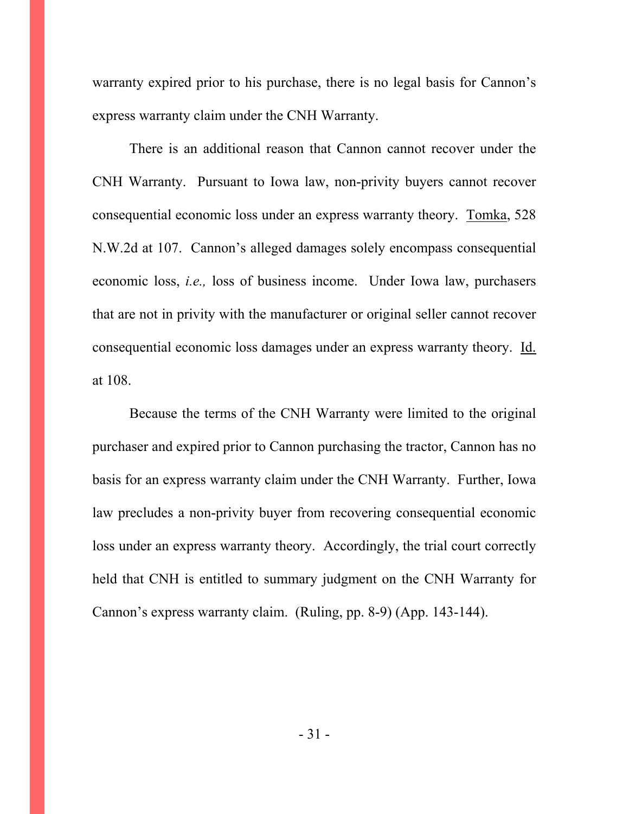warranty expired prior to his purchase, there is no legal basis for Cannon's express warranty claim under the CNH Warranty.

 There is an additional reason that Cannon cannot recover under the CNH Warranty. Pursuant to Iowa law, non-privity buyers cannot recover consequential economic loss under an express warranty theory. Tomka, 528 N.W.2d at 107. Cannon's alleged damages solely encompass consequential economic loss, *i.e.,* loss of business income. Under Iowa law, purchasers that are not in privity with the manufacturer or original seller cannot recover consequential economic loss damages under an express warranty theory. Id. at 108.

 Because the terms of the CNH Warranty were limited to the original purchaser and expired prior to Cannon purchasing the tractor, Cannon has no basis for an express warranty claim under the CNH Warranty. Further, Iowa law precludes a non-privity buyer from recovering consequential economic loss under an express warranty theory. Accordingly, the trial court correctly held that CNH is entitled to summary judgment on the CNH Warranty for Cannon's express warranty claim. (Ruling, pp. 8-9) (App. 143-144).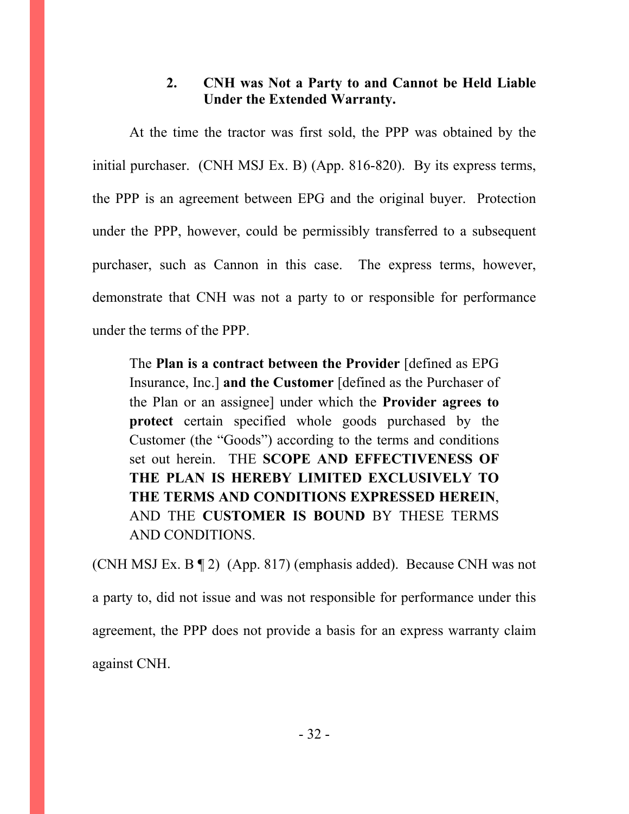### **2. CNH was Not a Party to and Cannot be Held Liable Under the Extended Warranty.**

 At the time the tractor was first sold, the PPP was obtained by the initial purchaser. (CNH MSJ Ex. B) (App. 816-820). By its express terms, the PPP is an agreement between EPG and the original buyer. Protection under the PPP, however, could be permissibly transferred to a subsequent purchaser, such as Cannon in this case. The express terms, however, demonstrate that CNH was not a party to or responsible for performance under the terms of the PPP.

 The **Plan is a contract between the Provider** [defined as EPG Insurance, Inc.] **and the Customer** [defined as the Purchaser of the Plan or an assignee] under which the **Provider agrees to protect** certain specified whole goods purchased by the Customer (the "Goods") according to the terms and conditions set out herein. THE **SCOPE AND EFFECTIVENESS OF THE PLAN IS HEREBY LIMITED EXCLUSIVELY TO THE TERMS AND CONDITIONS EXPRESSED HEREIN**, AND THE **CUSTOMER IS BOUND** BY THESE TERMS AND CONDITIONS.

(CNH MSJ Ex. B ¶ 2) (App. 817) (emphasis added). Because CNH was not a party to, did not issue and was not responsible for performance under this agreement, the PPP does not provide a basis for an express warranty claim against CNH.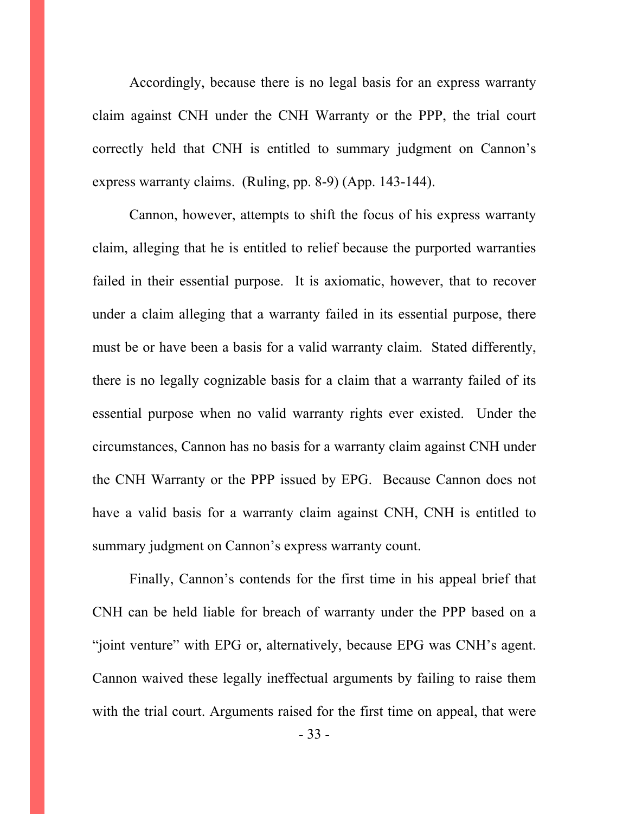Accordingly, because there is no legal basis for an express warranty claim against CNH under the CNH Warranty or the PPP, the trial court correctly held that CNH is entitled to summary judgment on Cannon's express warranty claims. (Ruling, pp. 8-9) (App. 143-144).

 Cannon, however, attempts to shift the focus of his express warranty claim, alleging that he is entitled to relief because the purported warranties failed in their essential purpose. It is axiomatic, however, that to recover under a claim alleging that a warranty failed in its essential purpose, there must be or have been a basis for a valid warranty claim. Stated differently, there is no legally cognizable basis for a claim that a warranty failed of its essential purpose when no valid warranty rights ever existed. Under the circumstances, Cannon has no basis for a warranty claim against CNH under the CNH Warranty or the PPP issued by EPG. Because Cannon does not have a valid basis for a warranty claim against CNH, CNH is entitled to summary judgment on Cannon's express warranty count.

 Finally, Cannon's contends for the first time in his appeal brief that CNH can be held liable for breach of warranty under the PPP based on a "joint venture" with EPG or, alternatively, because EPG was CNH's agent. Cannon waived these legally ineffectual arguments by failing to raise them with the trial court. Arguments raised for the first time on appeal, that were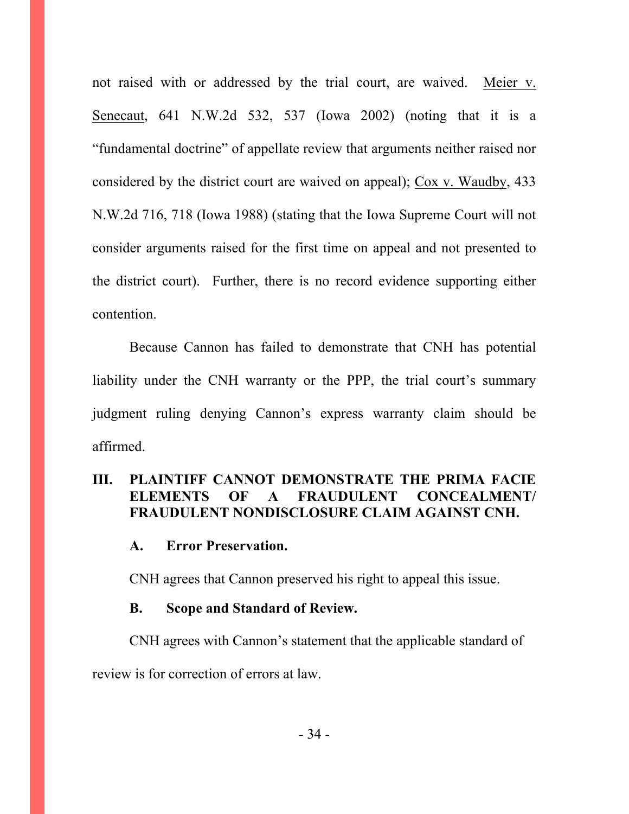not raised with or addressed by the trial court, are waived. Meier v. Senecaut, 641 N.W.2d 532, 537 (Iowa 2002) (noting that it is a "fundamental doctrine" of appellate review that arguments neither raised nor considered by the district court are waived on appeal); Cox v. Waudby, 433 N.W.2d 716, 718 (Iowa 1988) (stating that the Iowa Supreme Court will not consider arguments raised for the first time on appeal and not presented to the district court). Further, there is no record evidence supporting either contention.

 Because Cannon has failed to demonstrate that CNH has potential liability under the CNH warranty or the PPP, the trial court's summary judgment ruling denying Cannon's express warranty claim should be affirmed.

### **III. PLAINTIFF CANNOT DEMONSTRATE THE PRIMA FACIE ELEMENTS OF A FRAUDULENT CONCEALMENT/ FRAUDULENT NONDISCLOSURE CLAIM AGAINST CNH.**

#### **A. Error Preservation.**

CNH agrees that Cannon preserved his right to appeal this issue.

#### **B. Scope and Standard of Review.**

CNH agrees with Cannon's statement that the applicable standard of

review is for correction of errors at law.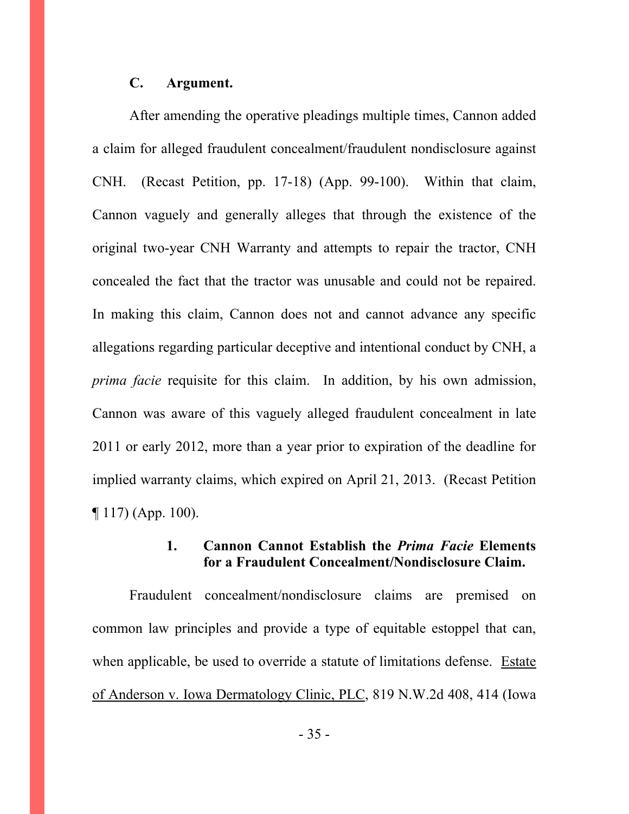#### **C. Argument.**

 After amending the operative pleadings multiple times, Cannon added a claim for alleged fraudulent concealment/fraudulent nondisclosure against CNH. (Recast Petition, pp. 17-18) (App. 99-100). Within that claim, Cannon vaguely and generally alleges that through the existence of the original two-year CNH Warranty and attempts to repair the tractor, CNH concealed the fact that the tractor was unusable and could not be repaired. In making this claim, Cannon does not and cannot advance any specific allegations regarding particular deceptive and intentional conduct by CNH, a *prima facie* requisite for this claim. In addition, by his own admission, Cannon was aware of this vaguely alleged fraudulent concealment in late 2011 or early 2012, more than a year prior to expiration of the deadline for implied warranty claims, which expired on April 21, 2013. (Recast Petition ¶ 117) (App. 100).

#### **1. Cannon Cannot Establish the** *Prima Facie* **Elements for a Fraudulent Concealment/Nondisclosure Claim.**

 Fraudulent concealment/nondisclosure claims are premised on common law principles and provide a type of equitable estoppel that can, when applicable, be used to override a statute of limitations defense. Estate of Anderson v. Iowa Dermatology Clinic, PLC, 819 N.W.2d 408, 414 (Iowa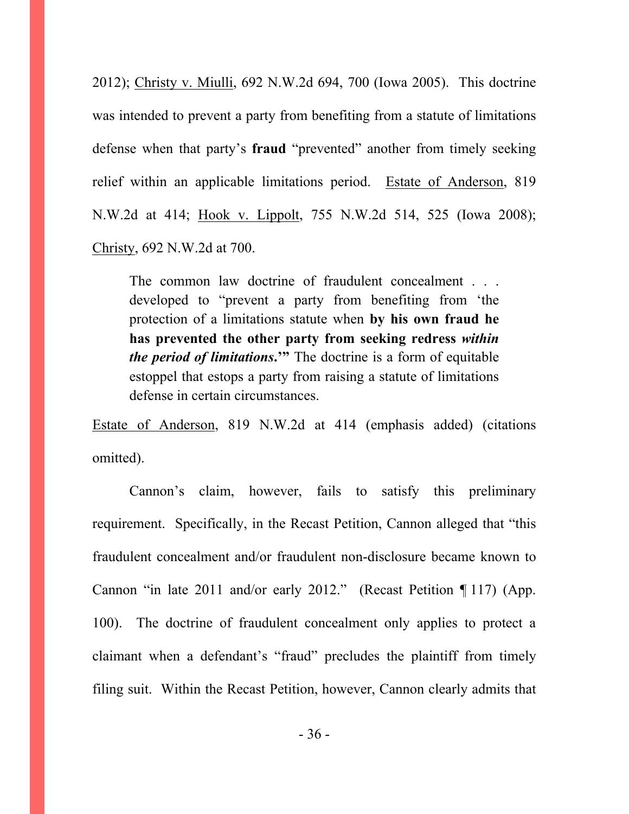2012); Christy v. Miulli, 692 N.W.2d 694, 700 (Iowa 2005). This doctrine was intended to prevent a party from benefiting from a statute of limitations defense when that party's **fraud** "prevented" another from timely seeking relief within an applicable limitations period. Estate of Anderson, 819 N.W.2d at 414; Hook v. Lippolt, 755 N.W.2d 514, 525 (Iowa 2008); Christy, 692 N.W.2d at 700.

The common law doctrine of fraudulent concealment . . . developed to "prevent a party from benefiting from 'the protection of a limitations statute when **by his own fraud he has prevented the other party from seeking redress** *within the period of limitations***.'"** The doctrine is a form of equitable estoppel that estops a party from raising a statute of limitations defense in certain circumstances.

Estate of Anderson, 819 N.W.2d at 414 (emphasis added) (citations omitted).

 Cannon's claim, however, fails to satisfy this preliminary requirement. Specifically, in the Recast Petition, Cannon alleged that "this fraudulent concealment and/or fraudulent non-disclosure became known to Cannon "in late 2011 and/or early 2012." (Recast Petition ¶ 117) (App. 100). The doctrine of fraudulent concealment only applies to protect a claimant when a defendant's "fraud" precludes the plaintiff from timely filing suit. Within the Recast Petition, however, Cannon clearly admits that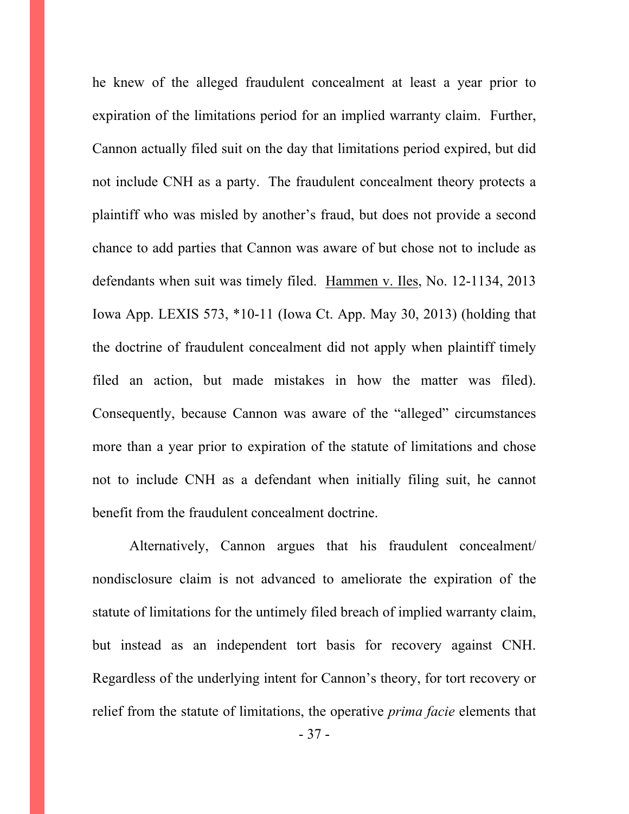he knew of the alleged fraudulent concealment at least a year prior to expiration of the limitations period for an implied warranty claim. Further, Cannon actually filed suit on the day that limitations period expired, but did not include CNH as a party. The fraudulent concealment theory protects a plaintiff who was misled by another's fraud, but does not provide a second chance to add parties that Cannon was aware of but chose not to include as defendants when suit was timely filed. Hammen v. Iles, No. 12-1134, 2013 Iowa App. LEXIS 573, \*10-11 (Iowa Ct. App. May 30, 2013) (holding that the doctrine of fraudulent concealment did not apply when plaintiff timely filed an action, but made mistakes in how the matter was filed). Consequently, because Cannon was aware of the "alleged" circumstances more than a year prior to expiration of the statute of limitations and chose not to include CNH as a defendant when initially filing suit, he cannot benefit from the fraudulent concealment doctrine.

 Alternatively, Cannon argues that his fraudulent concealment/ nondisclosure claim is not advanced to ameliorate the expiration of the statute of limitations for the untimely filed breach of implied warranty claim, but instead as an independent tort basis for recovery against CNH. Regardless of the underlying intent for Cannon's theory, for tort recovery or relief from the statute of limitations, the operative *prima facie* elements that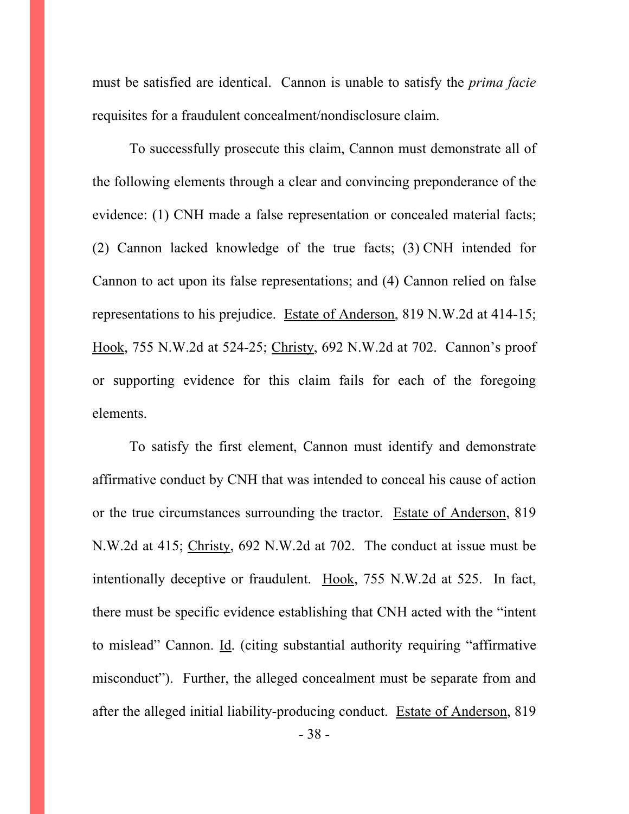must be satisfied are identical. Cannon is unable to satisfy the *prima facie* requisites for a fraudulent concealment/nondisclosure claim.

To successfully prosecute this claim, Cannon must demonstrate all of the following elements through a clear and convincing preponderance of the evidence: (1) CNH made a false representation or concealed material facts; (2) Cannon lacked knowledge of the true facts; (3) CNH intended for Cannon to act upon its false representations; and (4) Cannon relied on false representations to his prejudice. Estate of Anderson, 819 N.W.2d at 414-15; Hook, 755 N.W.2d at 524-25; Christy, 692 N.W.2d at 702. Cannon's proof or supporting evidence for this claim fails for each of the foregoing elements.

To satisfy the first element, Cannon must identify and demonstrate affirmative conduct by CNH that was intended to conceal his cause of action or the true circumstances surrounding the tractor. Estate of Anderson, 819 N.W.2d at 415; Christy, 692 N.W.2d at 702. The conduct at issue must be intentionally deceptive or fraudulent. Hook, 755 N.W.2d at 525. In fact, there must be specific evidence establishing that CNH acted with the "intent to mislead" Cannon. Id. (citing substantial authority requiring "affirmative misconduct"). Further, the alleged concealment must be separate from and after the alleged initial liability-producing conduct. Estate of Anderson, 819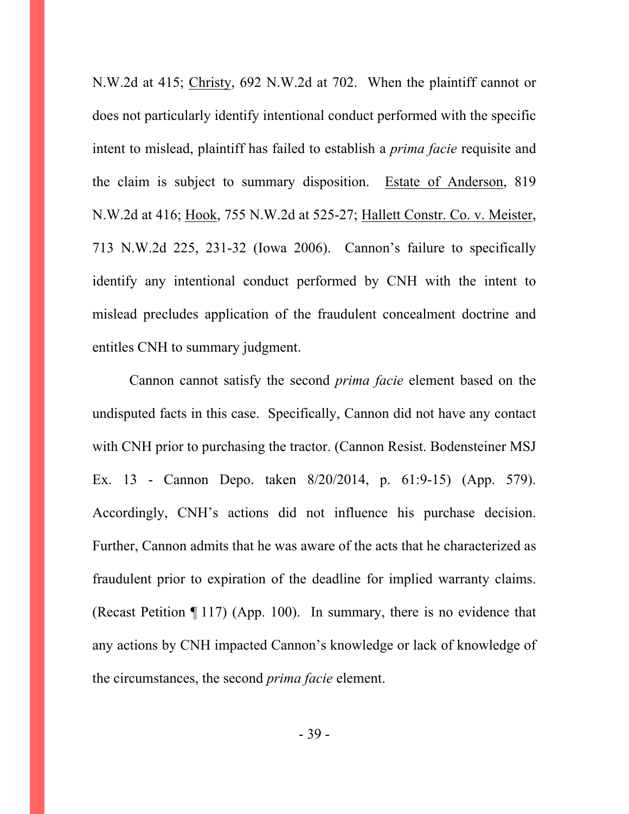N.W.2d at 415; Christy, 692 N.W.2d at 702. When the plaintiff cannot or does not particularly identify intentional conduct performed with the specific intent to mislead, plaintiff has failed to establish a *prima facie* requisite and the claim is subject to summary disposition. Estate of Anderson, 819 N.W.2d at 416; Hook, 755 N.W.2d at 525-27; Hallett Constr. Co. v. Meister, 713 N.W.2d 225, 231-32 (Iowa 2006). Cannon's failure to specifically identify any intentional conduct performed by CNH with the intent to mislead precludes application of the fraudulent concealment doctrine and entitles CNH to summary judgment.

 Cannon cannot satisfy the second *prima facie* element based on the undisputed facts in this case. Specifically, Cannon did not have any contact with CNH prior to purchasing the tractor. (Cannon Resist. Bodensteiner MSJ Ex. 13 - Cannon Depo. taken 8/20/2014, p. 61:9-15) (App. 579). Accordingly, CNH's actions did not influence his purchase decision. Further, Cannon admits that he was aware of the acts that he characterized as fraudulent prior to expiration of the deadline for implied warranty claims. (Recast Petition ¶ 117) (App. 100). In summary, there is no evidence that any actions by CNH impacted Cannon's knowledge or lack of knowledge of the circumstances, the second *prima facie* element.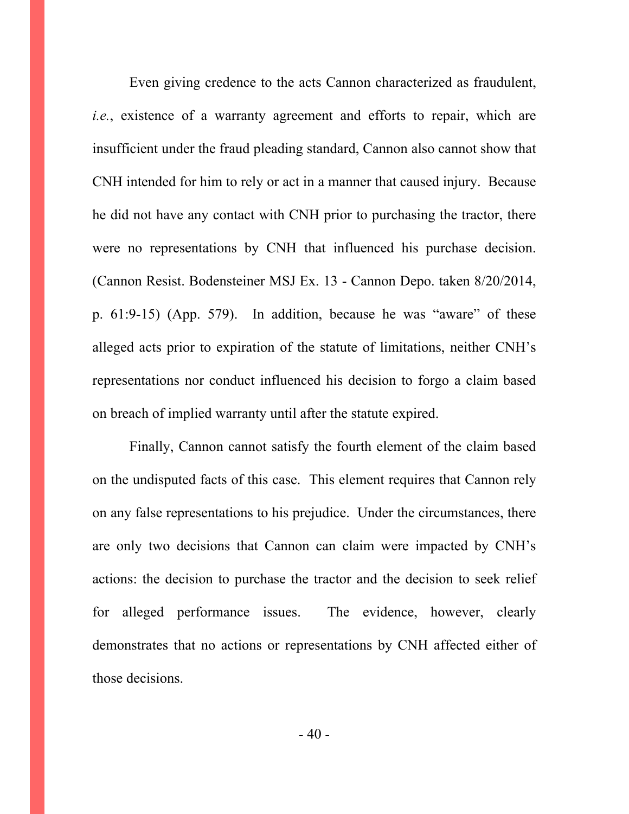Even giving credence to the acts Cannon characterized as fraudulent, *i.e.*, existence of a warranty agreement and efforts to repair, which are insufficient under the fraud pleading standard, Cannon also cannot show that CNH intended for him to rely or act in a manner that caused injury. Because he did not have any contact with CNH prior to purchasing the tractor, there were no representations by CNH that influenced his purchase decision. (Cannon Resist. Bodensteiner MSJ Ex. 13 - Cannon Depo. taken 8/20/2014, p. 61:9-15) (App. 579). In addition, because he was "aware" of these alleged acts prior to expiration of the statute of limitations, neither CNH's representations nor conduct influenced his decision to forgo a claim based on breach of implied warranty until after the statute expired.

 Finally, Cannon cannot satisfy the fourth element of the claim based on the undisputed facts of this case. This element requires that Cannon rely on any false representations to his prejudice. Under the circumstances, there are only two decisions that Cannon can claim were impacted by CNH's actions: the decision to purchase the tractor and the decision to seek relief for alleged performance issues. The evidence, however, clearly demonstrates that no actions or representations by CNH affected either of those decisions.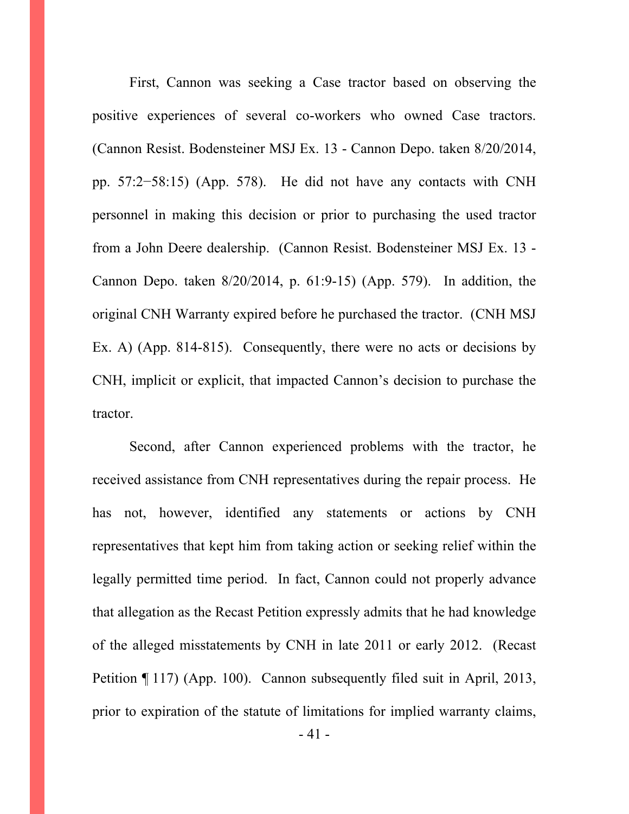First, Cannon was seeking a Case tractor based on observing the positive experiences of several co-workers who owned Case tractors. (Cannon Resist. Bodensteiner MSJ Ex. 13 - Cannon Depo. taken 8/20/2014, pp. 57:2−58:15) (App. 578). He did not have any contacts with CNH personnel in making this decision or prior to purchasing the used tractor from a John Deere dealership. (Cannon Resist. Bodensteiner MSJ Ex. 13 - Cannon Depo. taken 8/20/2014, p. 61:9-15) (App. 579). In addition, the original CNH Warranty expired before he purchased the tractor. (CNH MSJ Ex. A) (App. 814-815). Consequently, there were no acts or decisions by CNH, implicit or explicit, that impacted Cannon's decision to purchase the tractor.

 Second, after Cannon experienced problems with the tractor, he received assistance from CNH representatives during the repair process. He has not, however, identified any statements or actions by CNH representatives that kept him from taking action or seeking relief within the legally permitted time period. In fact, Cannon could not properly advance that allegation as the Recast Petition expressly admits that he had knowledge of the alleged misstatements by CNH in late 2011 or early 2012. (Recast Petition ¶ 117) (App. 100). Cannon subsequently filed suit in April, 2013, prior to expiration of the statute of limitations for implied warranty claims,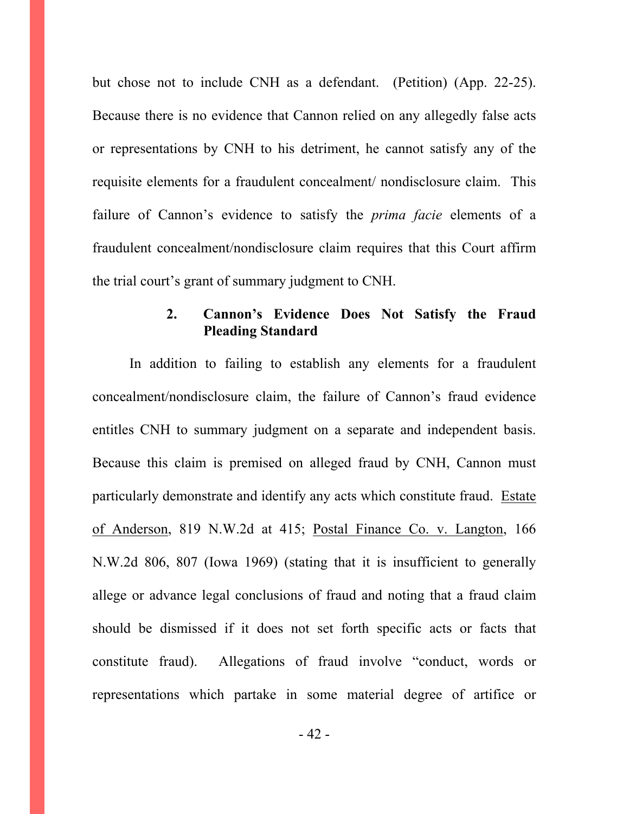but chose not to include CNH as a defendant. (Petition) (App. 22-25). Because there is no evidence that Cannon relied on any allegedly false acts or representations by CNH to his detriment, he cannot satisfy any of the requisite elements for a fraudulent concealment/ nondisclosure claim. This failure of Cannon's evidence to satisfy the *prima facie* elements of a fraudulent concealment/nondisclosure claim requires that this Court affirm the trial court's grant of summary judgment to CNH.

### **2. Cannon's Evidence Does Not Satisfy the Fraud Pleading Standard**

 In addition to failing to establish any elements for a fraudulent concealment/nondisclosure claim, the failure of Cannon's fraud evidence entitles CNH to summary judgment on a separate and independent basis. Because this claim is premised on alleged fraud by CNH, Cannon must particularly demonstrate and identify any acts which constitute fraud. Estate of Anderson, 819 N.W.2d at 415; Postal Finance Co. v. Langton, 166 N.W.2d 806, 807 (Iowa 1969) (stating that it is insufficient to generally allege or advance legal conclusions of fraud and noting that a fraud claim should be dismissed if it does not set forth specific acts or facts that constitute fraud). Allegations of fraud involve "conduct, words or representations which partake in some material degree of artifice or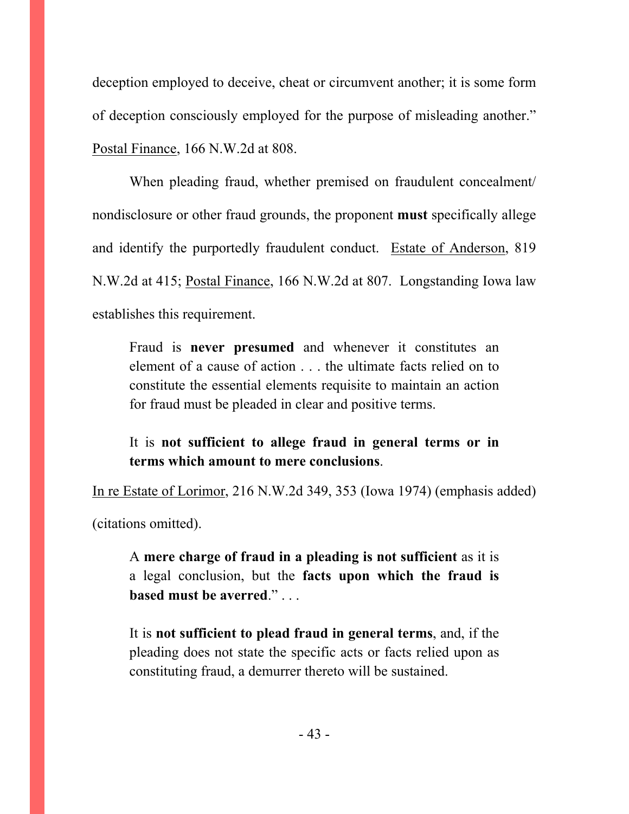deception employed to deceive, cheat or circumvent another; it is some form of deception consciously employed for the purpose of misleading another." Postal Finance, 166 N.W.2d at 808.

 When pleading fraud, whether premised on fraudulent concealment/ nondisclosure or other fraud grounds, the proponent **must** specifically allege and identify the purportedly fraudulent conduct. Estate of Anderson, 819 N.W.2d at 415; Postal Finance, 166 N.W.2d at 807. Longstanding Iowa law establishes this requirement.

Fraud is **never presumed** and whenever it constitutes an element of a cause of action . . . the ultimate facts relied on to constitute the essential elements requisite to maintain an action for fraud must be pleaded in clear and positive terms.

It is **not sufficient to allege fraud in general terms or in terms which amount to mere conclusions**.

In re Estate of Lorimor, 216 N.W.2d 349, 353 (Iowa 1974) (emphasis added) (citations omitted).

A **mere charge of fraud in a pleading is not sufficient** as it is a legal conclusion, but the **facts upon which the fraud is based must be averred**." . . .

It is **not sufficient to plead fraud in general terms**, and, if the pleading does not state the specific acts or facts relied upon as constituting fraud, a demurrer thereto will be sustained.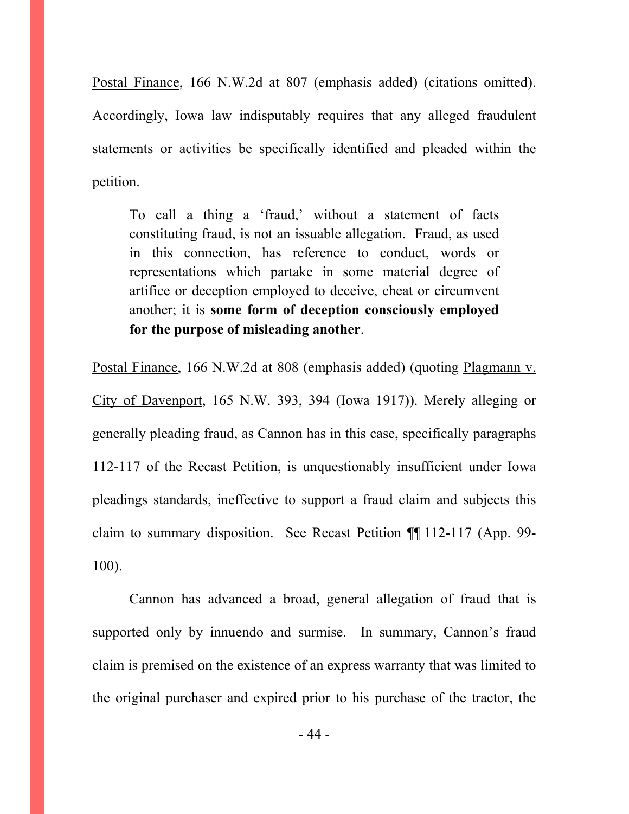Postal Finance, 166 N.W.2d at 807 (emphasis added) (citations omitted). Accordingly, Iowa law indisputably requires that any alleged fraudulent statements or activities be specifically identified and pleaded within the petition.

To call a thing a 'fraud,' without a statement of facts constituting fraud, is not an issuable allegation. Fraud, as used in this connection, has reference to conduct, words or representations which partake in some material degree of artifice or deception employed to deceive, cheat or circumvent another; it is **some form of deception consciously employed for the purpose of misleading another**.

Postal Finance, 166 N.W.2d at 808 (emphasis added) (quoting Plagmann v. City of Davenport, 165 N.W. 393, 394 (Iowa 1917)). Merely alleging or generally pleading fraud, as Cannon has in this case, specifically paragraphs 112-117 of the Recast Petition, is unquestionably insufficient under Iowa pleadings standards, ineffective to support a fraud claim and subjects this claim to summary disposition. See Recast Petition ¶¶ 112-117 (App. 99- 100).

 Cannon has advanced a broad, general allegation of fraud that is supported only by innuendo and surmise. In summary, Cannon's fraud claim is premised on the existence of an express warranty that was limited to the original purchaser and expired prior to his purchase of the tractor, the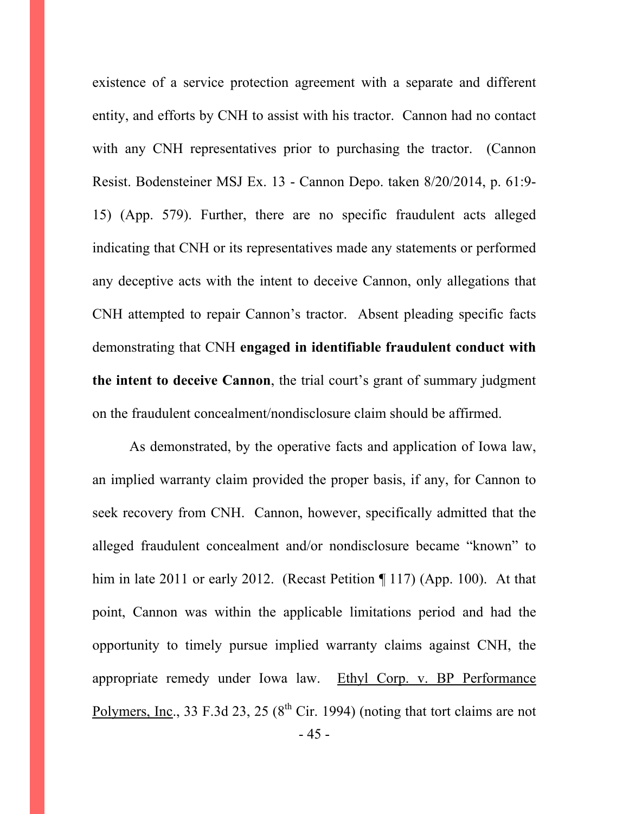existence of a service protection agreement with a separate and different entity, and efforts by CNH to assist with his tractor. Cannon had no contact with any CNH representatives prior to purchasing the tractor. (Cannon Resist. Bodensteiner MSJ Ex. 13 - Cannon Depo. taken 8/20/2014, p. 61:9- 15) (App. 579). Further, there are no specific fraudulent acts alleged indicating that CNH or its representatives made any statements or performed any deceptive acts with the intent to deceive Cannon, only allegations that CNH attempted to repair Cannon's tractor. Absent pleading specific facts demonstrating that CNH **engaged in identifiable fraudulent conduct with the intent to deceive Cannon**, the trial court's grant of summary judgment on the fraudulent concealment/nondisclosure claim should be affirmed.

- 45 - As demonstrated, by the operative facts and application of Iowa law, an implied warranty claim provided the proper basis, if any, for Cannon to seek recovery from CNH. Cannon, however, specifically admitted that the alleged fraudulent concealment and/or nondisclosure became "known" to him in late 2011 or early 2012. (Recast Petition ¶ 117) (App. 100). At that point, Cannon was within the applicable limitations period and had the opportunity to timely pursue implied warranty claims against CNH, the appropriate remedy under Iowa law. Ethyl Corp. v. BP Performance Polymers, Inc., 33 F.3d 23, 25 ( $8<sup>th</sup>$  Cir. 1994) (noting that tort claims are not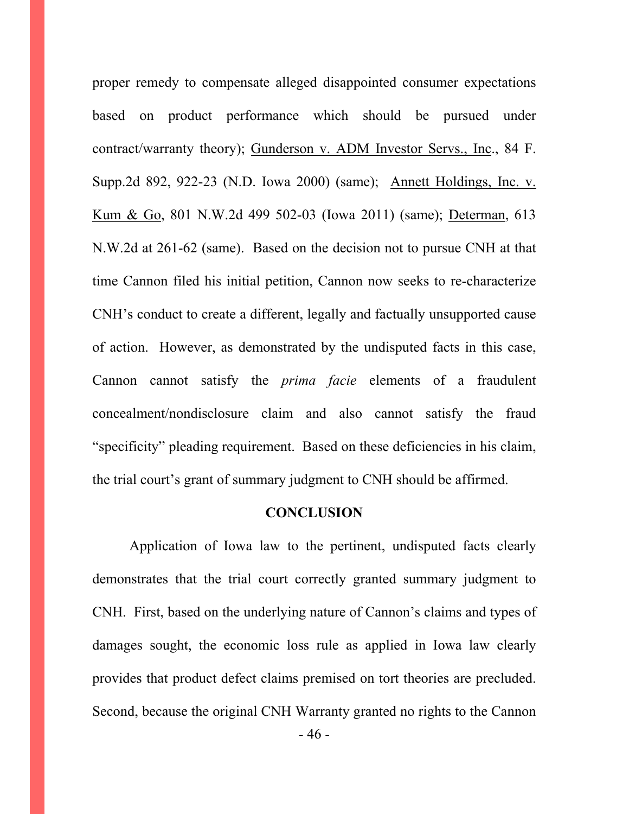proper remedy to compensate alleged disappointed consumer expectations based on product performance which should be pursued under contract/warranty theory); Gunderson v. ADM Investor Servs., Inc., 84 F. Supp.2d 892, 922-23 (N.D. Iowa 2000) (same); Annett Holdings, Inc. v. Kum & Go, 801 N.W.2d 499 502-03 (Iowa 2011) (same); Determan, 613 N.W.2d at 261-62 (same). Based on the decision not to pursue CNH at that time Cannon filed his initial petition, Cannon now seeks to re-characterize CNH's conduct to create a different, legally and factually unsupported cause of action. However, as demonstrated by the undisputed facts in this case, Cannon cannot satisfy the *prima facie* elements of a fraudulent concealment/nondisclosure claim and also cannot satisfy the fraud "specificity" pleading requirement. Based on these deficiencies in his claim, the trial court's grant of summary judgment to CNH should be affirmed.

#### **CONCLUSION**

 Application of Iowa law to the pertinent, undisputed facts clearly demonstrates that the trial court correctly granted summary judgment to CNH. First, based on the underlying nature of Cannon's claims and types of damages sought, the economic loss rule as applied in Iowa law clearly provides that product defect claims premised on tort theories are precluded. Second, because the original CNH Warranty granted no rights to the Cannon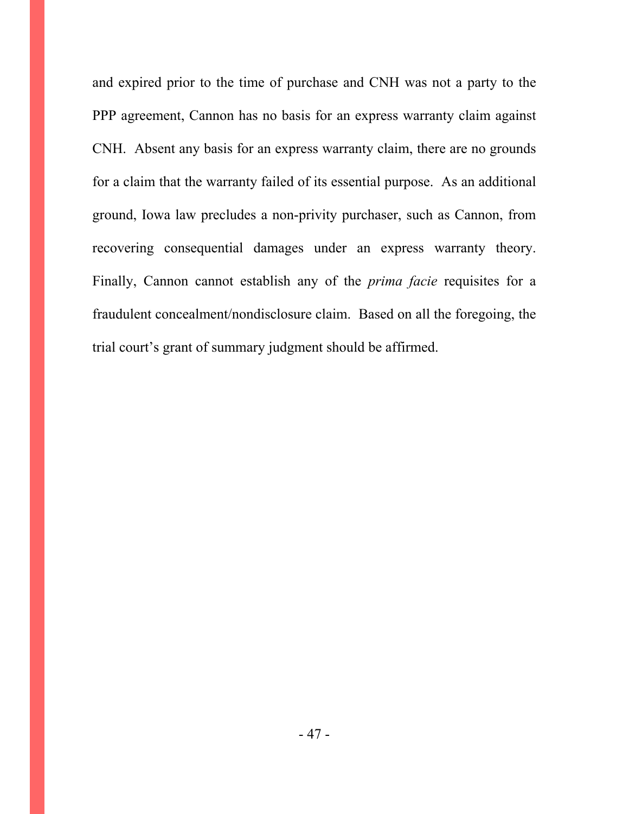and expired prior to the time of purchase and CNH was not a party to the PPP agreement, Cannon has no basis for an express warranty claim against CNH. Absent any basis for an express warranty claim, there are no grounds for a claim that the warranty failed of its essential purpose. As an additional ground, Iowa law precludes a non-privity purchaser, such as Cannon, from recovering consequential damages under an express warranty theory. Finally, Cannon cannot establish any of the *prima facie* requisites for a fraudulent concealment/nondisclosure claim. Based on all the foregoing, the trial court's grant of summary judgment should be affirmed.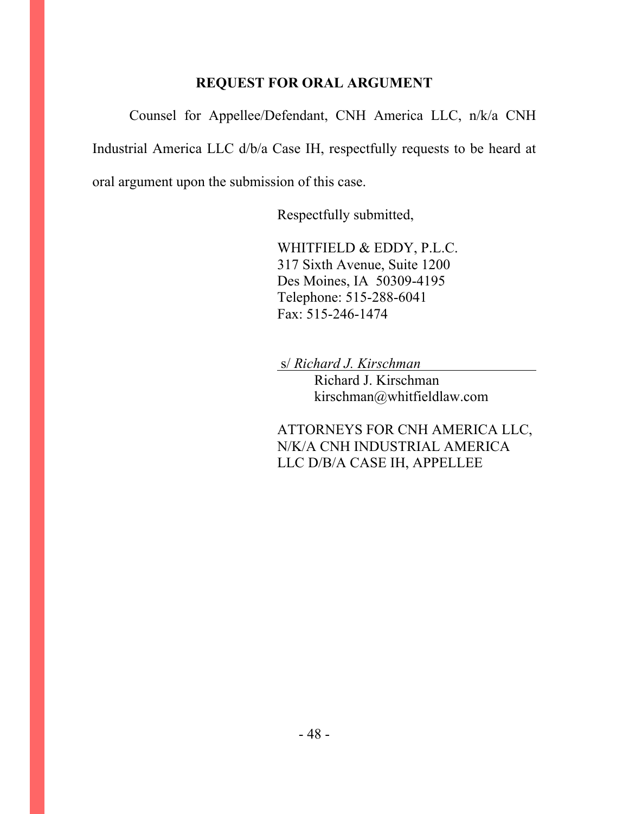### **REQUEST FOR ORAL ARGUMENT**

 Counsel for Appellee/Defendant, CNH America LLC, n/k/a CNH Industrial America LLC d/b/a Case IH, respectfully requests to be heard at oral argument upon the submission of this case.

Respectfully submitted,

 WHITFIELD & EDDY, P.L.C. 317 Sixth Avenue, Suite 1200 Des Moines, IA 50309-4195 Telephone: 515-288-6041 Fax: 515-246-1474

s/ *Richard J. Kirschman*

 Richard J. Kirschman kirschman@whitfieldlaw.com

ATTORNEYS FOR CNH AMERICA LLC, N/K/A CNH INDUSTRIAL AMERICA LLC D/B/A CASE IH, APPELLEE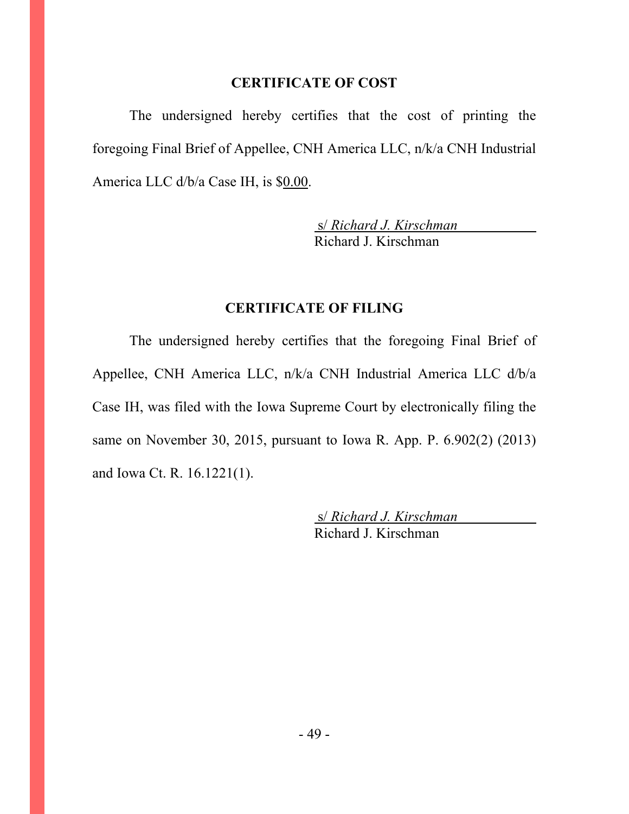#### **CERTIFICATE OF COST**

 The undersigned hereby certifies that the cost of printing the foregoing Final Brief of Appellee, CNH America LLC, n/k/a CNH Industrial America LLC d/b/a Case IH, is \$0.00.

> s/ *Richard J. Kirschman* Richard J. Kirschman

#### **CERTIFICATE OF FILING**

 The undersigned hereby certifies that the foregoing Final Brief of Appellee, CNH America LLC, n/k/a CNH Industrial America LLC d/b/a Case IH, was filed with the Iowa Supreme Court by electronically filing the same on November 30, 2015, pursuant to Iowa R. App. P. 6.902(2) (2013) and Iowa Ct. R. 16.1221(1).

> s/ *Richard J. Kirschman* Richard J. Kirschman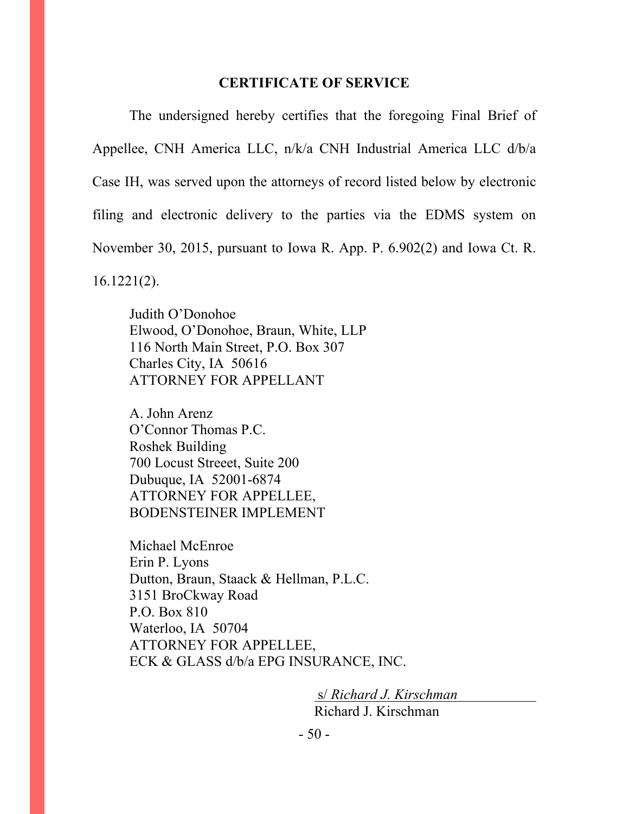#### **CERTIFICATE OF SERVICE**

 The undersigned hereby certifies that the foregoing Final Brief of Appellee, CNH America LLC, n/k/a CNH Industrial America LLC d/b/a Case IH, was served upon the attorneys of record listed below by electronic filing and electronic delivery to the parties via the EDMS system on November 30, 2015, pursuant to Iowa R. App. P. 6.902(2) and Iowa Ct. R. 16.1221(2).

 Judith O'Donohoe Elwood, O'Donohoe, Braun, White, LLP 116 North Main Street, P.O. Box 307 Charles City, IA 50616 ATTORNEY FOR APPELLANT

 A. John Arenz O'Connor Thomas P.C. Roshek Building 700 Locust Streeet, Suite 200 Dubuque, IA 52001-6874 ATTORNEY FOR APPELLEE, BODENSTEINER IMPLEMENT

 Michael McEnroe Erin P. Lyons Dutton, Braun, Staack & Hellman, P.L.C. 3151 BroCkway Road P.O. Box 810 Waterloo, IA 50704 ATTORNEY FOR APPELLEE, ECK & GLASS d/b/a EPG INSURANCE, INC.

> s/ *Richard J. Kirschman* Richard J. Kirschman

- 50 -